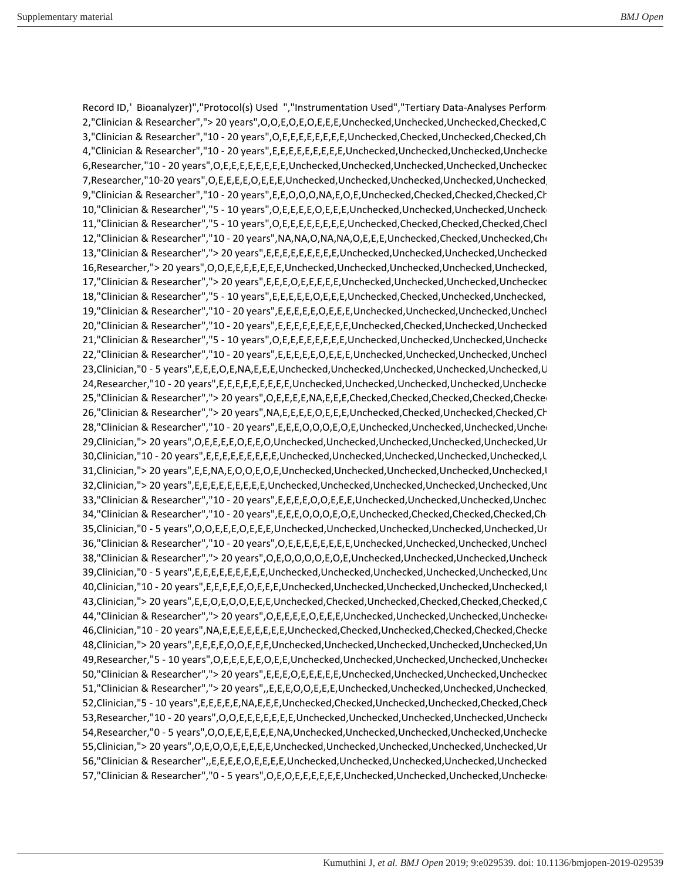Record ID," Bioanalyzer)","Protocol(s) Used ","Instrumentation Used","Tertiary Data-Analyses Perform 2,"Clinician & Researcher","> 20 years",O,O,E,O,E,O,E,E,E,Unchecked,Unchecked,Unchecked,Checked,Ch 3,"Clinician & Researcher","10 - 20 years",O,E,E,E,E,E,E,E,E,Unchecked,Checked,Unchecked,Checked,Check 4,"Clinician & Researcher","10 - 20 years",E,E,E,E,E,E,E,E,E,Unchecked,Unchecked,Unchecked,Unchecked 6,Researcher,"10 - 20 years",O,E,E,E,E,E,E,E,E,Unchecked,Unchecked,Unchecked,Unchecked,Unchecked,Un 7,Researcher,"10-20 years",O,E,E,E,E,O,E,E,E,Unchecked,Unchecked,Unchecked,Unchecked,Unchecked,Un 9,"Clinician & Researcher","10 - 20 years",E,E,O,O,O,NA,E,O,E,Unchecked,Checked,Checked,Checked,Check 10,"Clinician & Researcher","5 - 10 years",O,E,E,E,E,O,E,E,E,Unchecked,Unchecked,Unchecked,Unchecked 11,"Clinician & Researcher","5 - 10 years",O,E,E,E,E,E,E,E,E,Unchecked,Checked,Checked,Checked,Checked,Ch 12,"Clinician & Researcher","10 - 20 years",NA,NA,O,NA,NA,O,E,E,E,Unchecked,Checked,Unchecked,Check 13,"Clinician & Researcher","> 20 years",E,E,E,E,E,E,E,E,E,Unchecked,Unchecked,Unchecked,Unchecked,Un 16,Researcher,"> 20 years",O,O,E,E,E,E,E,E,E,Unchecked,Unchecked,Unchecked,Unchecked,Unchecked,Un 17,"Clinician & Researcher","> 20 years",E,E,E,O,E,E,E,E,E,Unchecked,Unchecked,Unchecked,Unchecked,Un 18,"Clinician & Researcher","5 - 10 years",E,E,E,E,E,O,E,E,E,Unchecked,Checked,Unchecked,Unchecked,Un 19,"Clinician & Researcher","10 - 20 years",E,E,E,E,E,O,E,E,E,Unchecked,Unchecked,Unchecked,Unchecke 20,"Clinician & Researcher","10 - 20 years",E,E,E,E,E,E,E,E,E,Unchecked,Checked,Unchecked,Unchecked,Ch 21,"Clinician & Researcher","5 - 10 years",O,E,E,E,E,E,E,E,E,Unchecked,Unchecked,Unchecked,Unchecked 22,"Clinician & Researcher","10 - 20 years",E,E,E,E,E,O,E,E,E,Unchecked,Unchecked,Unchecked,Unchecke 23,Clinician,"0 - 5 years",E,E,E,O,E,NA,E,E,E,Unchecked,Unchecked,Unchecked,Unchecked,Unchecked,Un 24,Researcher,"10 - 20 years",E,E,E,E,E,E,E,E,E,Unchecked,Unchecked,Unchecked,Unchecked,Unchecked 25,"Clinician & Researcher","> 20 years",O,E,E,E,E,NA,E,E,E,Checked,Checked,Checked,Checked,Checked,Ch 26,"Clinician & Researcher","> 20 years",NA,E,E,E,E,O,E,E,E,Unchecked,Checked,Unchecked,Checked,Check 28,"Clinician & Researcher","10 - 20 years",E,E,E,O,O,O,E,O,E,Unchecked,Unchecked,Unchecked,Unchecke 29,Clinician,"> 20 years",O,E,E,E,E,O,E,E,O,Unchecked,Unchecked,Unchecked,Unchecked,Unchecked,Unchecke 30,Clinician,"10 - 20 years",E,E,E,E,E,E,E,E,E,Unchecked,Unchecked,Unchecked,Unchecked,Unchecked,Un 31,Clinician,"> 20 years",E,E,NA,E,O,O,E,O,E,Unchecked,Unchecked,Unchecked,Unchecked,Unchecked,Un 32,Clinician,"> 20 years",E,E,E,E,E,E,E,E,E,Unchecked,Unchecked,Unchecked,Unchecked,Unchecked,Unchecke 33,"Clinician & Researcher","10 - 20 years",E,E,E,E,O,O,E,E,E,Unchecked,Unchecked,Unchecked,Unchecke 34,"Clinician & Researcher","10 - 20 years",E,E,E,O,O,O,E,O,E,Unchecked,Checked,Checked,Checked,Check 35,Clinician,"0 - 5 years",O,O,E,E,E,O,E,E,E,Unchecked,Unchecked,Unchecked,Unchecked,Unchecked,Unchecke 36,"Clinician & Researcher","10 - 20 years",O,E,E,E,E,E,E,E,E,Unchecked,Unchecked,Unchecked,Unchecke 38,"Clinician & Researcher","> 20 years",O,E,O,O,O,O,E,O,E,Unchecked,Unchecked,Unchecked,Unchecke 39,Clinician,"0 - 5 years",E,E,E,E,E,E,E,E,E,Unchecked,Unchecked,Unchecked,Unchecked,Unchecked,Unchecke 40,Clinician,"10 - 20 years",E,E,E,E,E,O,E,E,E,Unchecked,Unchecked,Unchecked,Unchecked,Unchecked,Un 43,Clinician,"> 20 years",E,E,O,E,O,O,E,E,E,Unchecked,Checked,Unchecked,Checked,Checked,Checked,Ch 44,"Clinician & Researcher","> 20 years",O,E,E,E,E,O,E,E,E,Unchecked,Unchecked,Unchecked,Unchecked,Un 46,Clinician,"10 - 20 years",NA,E,E,E,E,E,E,E,E,Unchecked,Checked,Unchecked,Checked,Checked,Checked,Ch 48,Clinician,"> 20 years",E,E,E,E,O,O,E,E,E,Unchecked,Unchecked,Unchecked,Unchecked,Unchecked,Unchecke 49,Researcher,"5 - 10 years",O,E,E,E,E,E,O,E,E,Unchecked,Unchecked,Unchecked,Unchecked,Unchecked,Un 50,"Clinician & Researcher","> 20 years",E,E,E,O,E,E,E,E,E,Unchecked,Unchecked,Unchecked,Unchecked,Un 51,"Clinician & Researcher","> 20 years",,E,E,E,O,O,E,E,E,Unchecked,Unchecked,Unchecked,Unchecked,Un 52,Clinician,"5 - 10 years",E,E,E,E,E,NA,E,E,E,Unchecked,Checked,Unchecked,Unchecked,Checked,Checked,Ch 53,Researcher,"10 - 20 years",O,O,E,E,E,E,E,E,E,Unchecked,Unchecked,Unchecked,Unchecked,Unchecked 54,Researcher,"0 - 5 years",O,O,E,E,E,E,E,E,NA,Unchecked,Unchecked,Unchecked,Unchecked,Unchecked 55,Clinician,"> 20 years",O,E,O,O,E,E,E,E,E,Unchecked,Unchecked,Unchecked,Unchecked,Unchecked,Unchecke 56,"Clinician & Researcher",,E,E,E,E,O,E,E,E,E,Unchecked,Unchecked,Unchecked,Unchecked,Unchecked,Un 57,"Clinician & Researcher","0 - 5 years",O,E,O,E,E,E,E,E,E,Unchecked,Unchecked,Unchecked,Unchecked,Un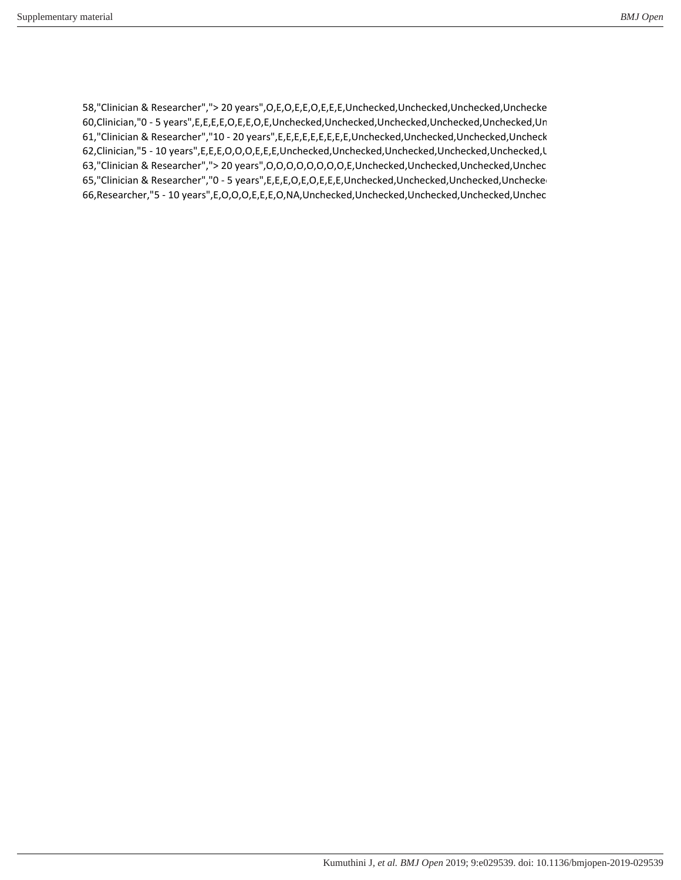58,"Clinician & Researcher","> 20 years",O,E,O,E,E,O,E,E,E,Unchecked,Unchecked,Unchecked,Unchecked 60,Clinician,"0 - 5 years",E,E,E,E,O,E,E,O,E,Unchecked,Unchecked,Unchecked,Unchecked,Unchecked,Unchecke 61,"Clinician & Researcher","10 - 20 years",E,E,E,E,E,E,E,E,E,Unchecked,Unchecked,Unchecked,Unchecke 62,Clinician,"5 - 10 years",E,E,E,O,O,O,E,E,E,Unchecked,Unchecked,Unchecked,Unchecked,Unchecked,Un 63,"Clinician & Researcher","> 20 years",O,O,O,O,O,O,O,O,E,Unchecked,Unchecked,Unchecked,Unchecke 65,"Clinician & Researcher","0 - 5 years",E,E,E,O,E,O,E,E,E,Unchecked,Unchecked,Unchecked,Unchecked,Un 66,Researcher,"5 - 10 years",E,O,O,O,E,E,E,O,NA,Unchecked,Unchecked,Unchecked,Unchecked,Unchecke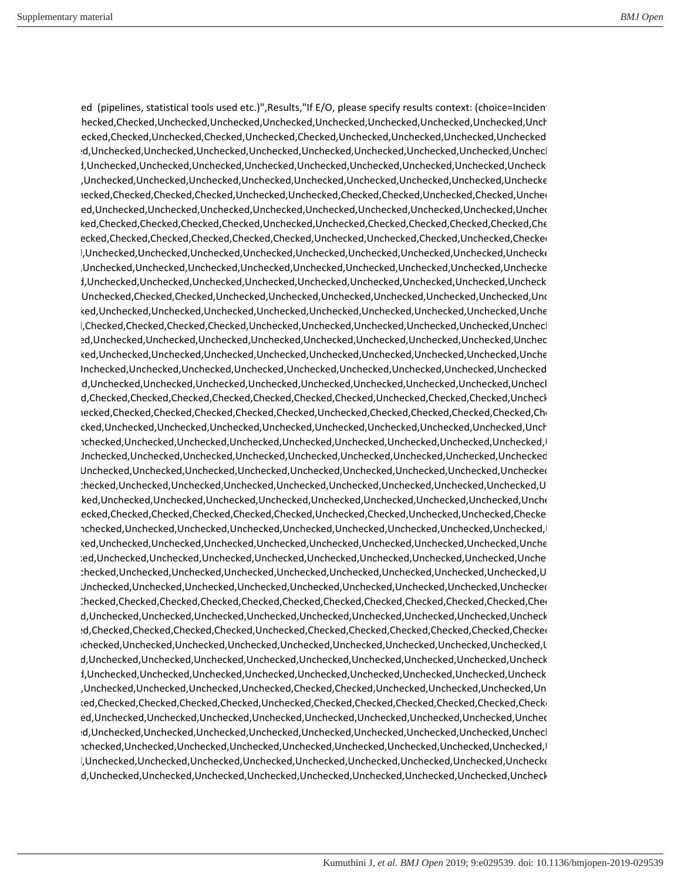ed (pipelines, statistical tools used etc.)",Results,"If E/O, please specify results context: (choice=Incidenti ed,Checked,Checked,Unchecked,Unchecked,Unchecked,Unchecked,Unchecked,Unchecked,Unchecked,Unchecke ed,Checked,Checked,Unchecked,Checked,Unchecked,Checked,Unchecked,Unchecked,Unchecked,Unchecked,Ch checked,Unchecked,Unchecked,Unchecked,Unchecked,Unchecked,Unchecked,Unchecked,Unchecked,Unchecke checked,Unchecked,Unchecked,Unchecked,Unchecked,Unchecked,Unchecked,Unchecked,Unchecked,Unchecked checked,Unchecked,Unchecked,Unchecked,Unchecked,Unchecked,Unchecked,Unchecked,Unchecked,Unchecked ed,Checked,Checked,Checked,Checked,Unchecked,Unchecked,Checked,Checked,Unchecked,Checked,Unchecke checked,Unchecked,Unchecked,Unchecked,Unchecked,Unchecked,Unchecked,Unchecked,Unchecked,Unchecke ecked,Checked,Checked,Checked,Checked,Unchecked,Unchecked,Checked,Checked,Checked,Checked,Check ,Checked,Checked,Checked,Checked,Checked,Checked,Unchecked,Unchecked,Checked,Unchecked,Checked,Ch checked,Unchecked,Unchecked,Unchecked,Unchecked,Unchecked,Unchecked,Unchecked,Unchecked,Unchecked checked,Unchecked,Unchecked,Unchecked,Unchecked,Unchecked,Unchecked,Unchecked,Unchecked,Unchecked checked,Unchecked,Unchecked,Unchecked,Unchecked,Unchecked,Unchecked,Unchecked,Unchecked,Unchecke d,Unchecked,Checked,Checked,Unchecked,Unchecked,Unchecked,Unchecked,Unchecked,Unchecked,Unchecke checked,Unchecked,Unchecked,Unchecked,Unchecked,Unchecked,Unchecked,Unchecked,Unchecked,Unchecke checked,Checked,Checked,Checked,Checked,Unchecked,Unchecked,Unchecked,Unchecked,Unchecked,Unchecke checked,Unchecked,Unchecked,Unchecked,Unchecked,Unchecked,Unchecked,Unchecked,Unchecked,Unchecke checked,Unchecked,Unchecked,Unchecked,Unchecked,Unchecked,Unchecked,Unchecked,Unchecked,Unchecke d,Unchecked,Unchecked,Unchecked,Unchecked,Unchecked,Unchecked,Unchecked,Unchecked,Unchecked,Un checked,Unchecked,Unchecked,Unchecked,Unchecked,Unchecked,Unchecked,Unchecked,Unchecked,Unchecke ecked,Checked,Checked,Checked,Checked,Checked,Checked,Checked,Unchecked,Checked,Checked,Unchecke ed,Checked,Checked,Checked,Checked,Checked,Checked,Unchecked,Checked,Checked,Checked,Checked,Check checked,Unchecked,Unchecked,Unchecked,Unchecked,Unchecked,Unchecked,Unchecked,Unchecked,Unchecke ,Unchecked,Unchecked,Unchecked,Unchecked,Unchecked,Unchecked,Unchecked,Unchecked,Unchecked,Un d,Unchecked,Unchecked,Unchecked,Unchecked,Unchecked,Unchecked,Unchecked,Unchecked,Unchecked,Un d,Unchecked,Unchecked,Unchecked,Unchecked,Unchecked,Unchecked,Unchecked,Unchecked,Unchecked,Un ,Unchecked,Unchecked,Unchecked,Unchecked,Unchecked,Unchecked,Unchecked,Unchecked,Unchecked,Un checked,Unchecked,Unchecked,Unchecked,Unchecked,Unchecked,Unchecked,Unchecked,Unchecked,Unchecke ecked,Checked,Checked,Checked,Checked,Checked,Unchecked,Checked,Unchecked,Unchecked,Checke ,Unchecked,Unchecked,Unchecked,Unchecked,Unchecked,Unchecked,Unchecked,Unchecked,Unchecked,Un checked,Unchecked,Unchecked,Unchecked,Unchecked,Unchecked,Unchecked,Unchecked,Unchecked,Unchecke checked,Unchecked,Unchecked,Unchecked,Unchecked,Unchecked,Unchecked,Unchecked,Unchecked,Unchecke ,Unchecked,Unchecked,Unchecked,Unchecked,Unchecked,Unchecked,Unchecked,Unchecked,Unchecked,Un d,Unchecked,Unchecked,Unchecked,Unchecked,Unchecked,Unchecked,Unchecked,Unchecked,Unchecked,Un ed,Checked,Checked,Checked,Checked,Checked,Checked,Checked,Checked,Checked,Checked,Checked,Check checked,Unchecked,Unchecked,Unchecked,Unchecked,Unchecked,Unchecked,Unchecked,Unchecked,Unchecke ecked,Checked,Checked,Checked,Checked,Unchecked,Checked,Checked,Checked,Checked,Checked,Checked,Un ,Unchecked,Unchecked,Unchecked,Unchecked,Unchecked,Unchecked,Unchecked,Unchecked,Unchecked,Un checked,Unchecked,Unchecked,Unchecked,Unchecked,Unchecked,Unchecked,Unchecked,Unchecked,Unchecke checked,Unchecked,Unchecked,Unchecked,Unchecked,Unchecked,Unchecked,Unchecked,Unchecked,Unchecke checked,Unchecked,Unchecked,Unchecked,Unchecked,Checked,Checked,Unchecked,Unchecked,Unchecked,Unchecke ecked,Checked,Checked,Checked,Checked,Unchecked,Checked,Checked,Checked,Checked,Checked,Checked,Un checked,Unchecked,Unchecked,Unchecked,Unchecked,Unchecked,Unchecked,Unchecked,Unchecked,Unchecke checked,Unchecked,Unchecked,Unchecked,Unchecked,Unchecked,Unchecked,Unchecked,Unchecked,Unchecke ,Unchecked,Unchecked,Unchecked,Unchecked,Unchecked,Unchecked,Unchecked,Unchecked,Unchecked,Un checked,Unchecked,Unchecked,Unchecked,Unchecked,Unchecked,Unchecked,Unchecked,Unchecked,Unchecked checked,Unchecked,Unchecked,Unchecked,Unchecked,Unchecked,Unchecked,Unchecked,Unchecked,Unchecke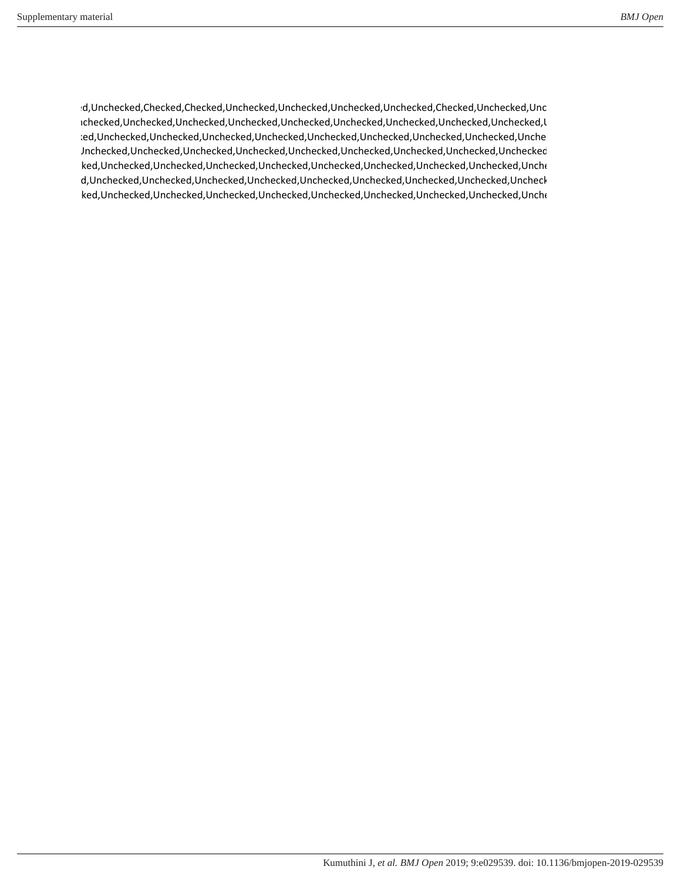checked,Unchecked,Checked,Checked,Unchecked,Unchecked,Unchecked,Unchecked,Checked,Unchecked,Unchecke ,Unchecked,Unchecked,Unchecked,Unchecked,Unchecked,Unchecked,Unchecked,Unchecked,Unchecked,Un checked,Unchecked,Unchecked,Unchecked,Unchecked,Unchecked,Unchecked,Unchecked,Unchecked,Unchecke d,Unchecked,Unchecked,Unchecked,Unchecked,Unchecked,Unchecked,Unchecked,Unchecked,Unchecked,Un checked,Unchecked,Unchecked,Unchecked,Unchecked,Unchecked,Unchecked,Unchecked,Unchecked,Unchecke checked,Unchecked,Unchecked,Unchecked,Unchecked,Unchecked,Unchecked,Unchecked,Unchecked,Unchecke checked,Unchecked,Unchecked,Unchecked,Unchecked,Unchecked,Unchecked,Unchecked,Unchecked,Unchecke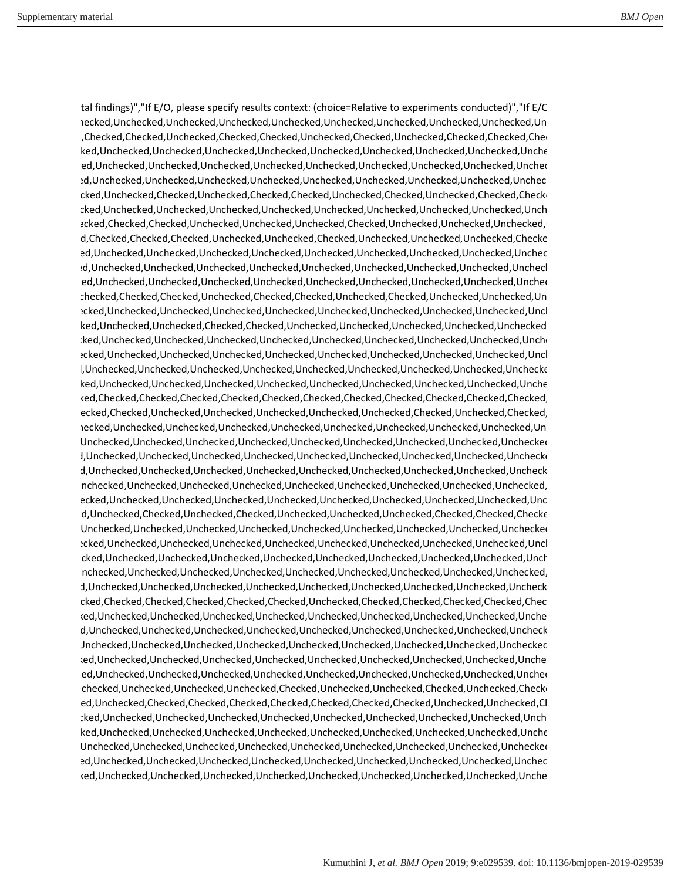tal findings)","If E/O, please specify results context: (choice=Relative to experiments conducted)","If E/C ,Unchecked,Unchecked,Unchecked,Unchecked,Unchecked,Unchecked,Unchecked,Unchecked,Unchecked,Unchecke checked,Checked,Checked,Unchecked,Checked,Checked,Unchecked,Checked,Unchecked,Checked,Checked,Check checked,Unchecked,Unchecked,Unchecked,Unchecked,Unchecked,Unchecked,Unchecked,Unchecked,Unchecke checked,Unchecked,Unchecked,Unchecked,Unchecked,Unchecked,Unchecked,Unchecked,Unchecked,Unchecke checked,Unchecked,Unchecked,Unchecked,Unchecked,Unchecked,Unchecked,Unchecked,Unchecked,Unchecke checked,Unchecked,Checked,Unchecked,Checked,Checked,Unchecked,Checked,Unchecked,Checked,Checked,Un checked,Unchecked,Unchecked,Unchecked,Unchecked,Unchecked,Unchecked,Unchecked,Unchecked,Unchecke ed,Checked,Checked,Checked,Unchecked,Unchecked,Unchecked,Checked,Unchecked,Unchecked,Unchecked,Ch ecked,Checked,Checked,Checked,Unchecked,Unchecked,Checked,Unchecked,Unchecked,Unchecked,Checked,Un checked,Unchecked,Unchecked,Unchecked,Unchecked,Unchecked,Unchecked,Unchecked,Unchecked,Unchecke checked,Unchecked,Unchecked,Unchecked,Unchecked,Unchecked,Unchecked,Unchecked,Unchecked,Unchecke checked,Unchecked,Unchecked,Unchecked,Unchecked,Unchecked,Unchecked,Unchecked,Unchecked,Unchecke ,Unchecked,Checked,Checked,Unchecked,Checked,Checked,Unchecked,Checked,Unchecked,Unchecked,Unchecke checked,Unchecked,Unchecked,Unchecked,Unchecked,Unchecked,Unchecked,Unchecked,Unchecked,Unchecke checked,Unchecked,Unchecked,Checked,Checked,Unchecked,Unchecked,Unchecked,Unchecked,Unchecked,Un checked,Unchecked,Unchecked,Unchecked,Unchecked,Unchecked,Unchecked,Unchecked,Unchecked,Unchecke checked,Unchecked,Unchecked,Unchecked,Unchecked,Unchecked,Unchecked,Unchecked,Unchecked,Unchecke checked,Unchecked,Unchecked,Unchecked,Unchecked,Unchecked,Unchecked,Unchecked,Unchecked,Unchecked checked,Unchecked,Unchecked,Unchecked,Unchecked,Unchecked,Unchecked,Unchecked,Unchecked,Unchecke checked,Checked,Checked,Checked,Checked,Checked,Checked,Checked,Checked,Checked,Checked,Checked,Ch ed,Checked,Checked,Unchecked,Unchecked,Unchecked,Unchecked,Unchecked,Checked,Unchecked,Checked,Un ,Unchecked,Unchecked,Unchecked,Unchecked,Unchecked,Unchecked,Unchecked,Unchecked,Unchecked,Unchecke d,Unchecked,Unchecked,Unchecked,Unchecked,Unchecked,Unchecked,Unchecked,Unchecked,Unchecked,Un checked,Unchecked,Unchecked,Unchecked,Unchecked,Unchecked,Unchecked,Unchecked,Unchecked,Unchecked checked,Unchecked,Unchecked,Unchecked,Unchecked,Unchecked,Unchecked,Unchecked,Unchecked,Unchecke ,Unchecked,Unchecked,Unchecked,Unchecked,Unchecked,Unchecked,Unchecked,Unchecked,Unchecked,Un checked,Unchecked,Unchecked,Unchecked,Unchecked,Unchecked,Unchecked,Unchecked,Unchecked,Unchecke ecked,Unchecked,Checked,Unchecked,Checked,Unchecked,Unchecked,Unchecked,Checked,Checked,Checked,Ch d,Unchecked,Unchecked,Unchecked,Unchecked,Unchecked,Unchecked,Unchecked,Unchecked,Unchecked,Un checked,Unchecked,Unchecked,Unchecked,Unchecked,Unchecked,Unchecked,Unchecked,Unchecked,Unchecke checked,Unchecked,Unchecked,Unchecked,Unchecked,Unchecked,Unchecked,Unchecked,Unchecked,Unchecke ,Unchecked,Unchecked,Unchecked,Unchecked,Unchecked,Unchecked,Unchecked,Unchecked,Unchecked,Un checked,Unchecked,Unchecked,Unchecked,Unchecked,Unchecked,Unchecked,Unchecked,Unchecked,Unchecke ed,Checked,Checked,Checked,Checked,Checked,Checked,Unchecked,Checked,Checked,Checked,Checked,Check checked,Unchecked,Unchecked,Unchecked,Unchecked,Unchecked,Unchecked,Unchecked,Unchecked,Unchecke ecked,Unchecked,Unchecked,Unchecked,Unchecked,Unchecked,Unchecked,Unchecked,Unchecked,Unchecke d,Unchecked,Unchecked,Unchecked,Unchecked,Unchecked,Unchecked,Unchecked,Unchecked,Unchecked,Un checked,Unchecked,Unchecked,Unchecked,Unchecked,Unchecked,Unchecked,Unchecked,Unchecked,Unchecke checked,Unchecked,Unchecked,Unchecked,Unchecked,Unchecked,Unchecked,Unchecked,Unchecked,Unchecke ,Unchecked,Unchecked,Unchecked,Unchecked,Checked,Unchecked,Unchecked,Checked,Unchecked,Checked,Un ed,Unchecked,Checked,Checked,Checked,Checked,Checked,Checked,Checked,Unchecked,Unchecked,Cl checked,Unchecked,Unchecked,Unchecked,Unchecked,Unchecked,Unchecked,Unchecked,Unchecked,Unchecke checked,Unchecked,Unchecked,Unchecked,Unchecked,Unchecked,Unchecked,Unchecked,Unchecked,Unchecke d,Unchecked,Unchecked,Unchecked,Unchecked,Unchecked,Unchecked,Unchecked,Unchecked,Unchecked,Un checked,Unchecked,Unchecked,Unchecked,Unchecked,Unchecked,Unchecked,Unchecked,Unchecked,Unchecke checked,Unchecked,Unchecked,Unchecked,Unchecked,Unchecked,Unchecked,Unchecked,Unchecked,Unchecke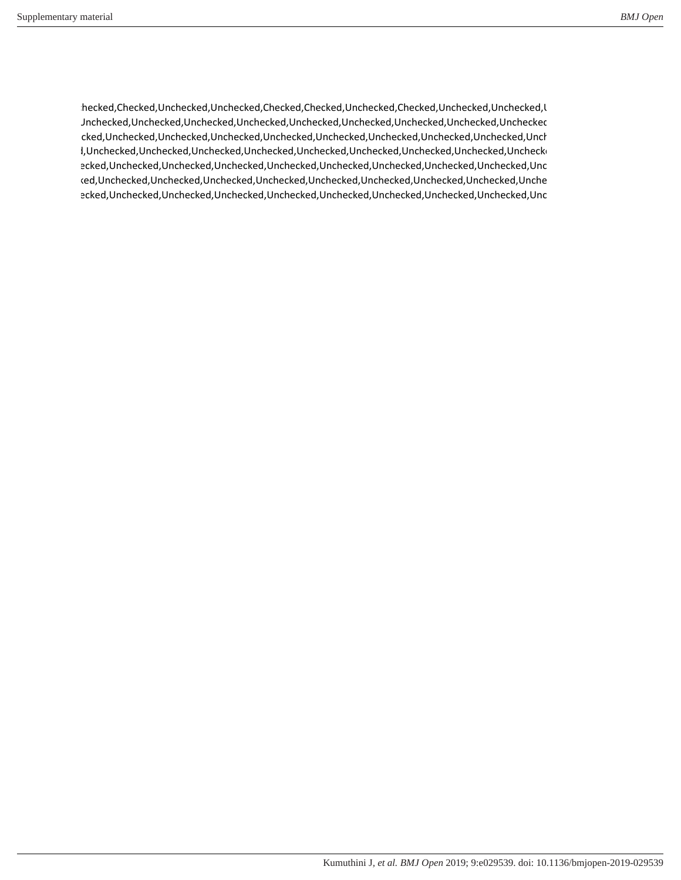,Unchecked,Checked,Unchecked,Unchecked,Checked,Checked,Unchecked,Checked,Unchecked,Unchecked,Un d,Unchecked,Unchecked,Unchecked,Unchecked,Unchecked,Unchecked,Unchecked,Unchecked,Unchecked,Un checked,Unchecked,Unchecked,Unchecked,Unchecked,Unchecked,Unchecked,Unchecked,Unchecked,Unchecke checked,Unchecked,Unchecked,Unchecked,Unchecked,Unchecked,Unchecked,Unchecked,Unchecked,Unchecked checked,Unchecked,Unchecked,Unchecked,Unchecked,Unchecked,Unchecked,Unchecked,Unchecked,Unchecke checked,Unchecked,Unchecked,Unchecked,Unchecked,Unchecked,Unchecked,Unchecked,Unchecked,Unchecke ecked,Unchecked,Unchecked,Unchecked,Unchecked,Unchecked,Unchecked,Unchecked,Unchecked,Unc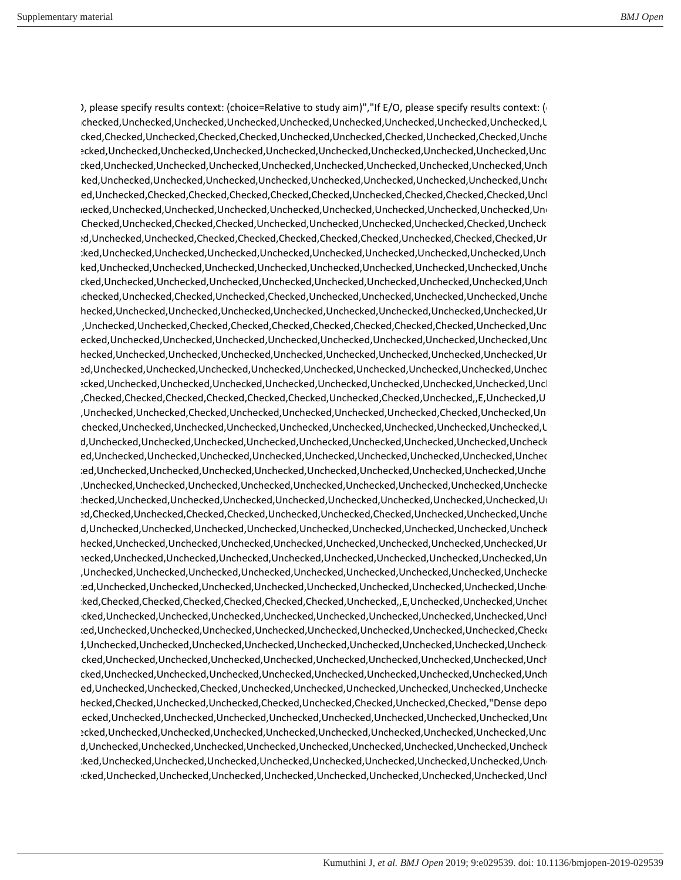), please specify results context: (choice=Relative to study aim)","If E/O, please specify results context: ( ,Unchecked,Unchecked,Unchecked,Unchecked,Unchecked,Unchecked,Unchecked,Unchecked,Unchecked,Un ed,Checked,Checked,Unchecked,Checked,Checked,Unchecked,Unchecked,Checked,Unchecked,Checked,Unchecke checked,Unchecked,Unchecked,Unchecked,Unchecked,Unchecked,Unchecked,Unchecked,Unchecked,Unchecke checked,Unchecked,Unchecked,Unchecked,Unchecked,Unchecked,Unchecked,Unchecked,Unchecked,Unchecke checked,Unchecked,Unchecked,Unchecked,Unchecked,Unchecked,Unchecked,Unchecked,Unchecked,Unchecke ed,Unchecked,Checked,Checked,Checked,Checked,Checked,Unchecked,Checked,Checked,Unchecked,Unchecked,Unchecked, checked,Unchecked,Unchecked,Unchecked,Unchecked,Unchecked,Unchecked,Unchecked,Unchecked,Unchecke d,Checked,Unchecked,Checked,Checked,Unchecked,Unchecked,Unchecked,Unchecked,Checked,Unchecke ecked,Unchecked,Unchecked,Checked,Checked,Checked,Checked,Checked,Unchecked,Checked,Checked,Unchecke checked,Unchecked,Unchecked,Unchecked,Unchecked,Unchecked,Unchecked,Unchecked,Unchecked,Unchecke checked,Unchecked,Unchecked,Unchecked,Unchecked,Unchecked,Unchecked,Unchecked,Unchecked,Unchecke checked,Unchecked,Unchecked,Unchecked,Unchecked,Unchecked,Unchecked,Unchecked,Unchecked,Unchecke ,Unchecked,Unchecked,Checked,Unchecked,Checked,Unchecked,Unchecked,Unchecked,Unchecked,Unchecke ,Unchecked,Unchecked,Unchecked,Unchecked,Unchecked,Unchecked,Unchecked,Unchecked,Unchecked,Unchecke checked,Unchecked,Unchecked,Checked,Checked,Checked,Checked,Checked,Checked,Checked,Unchecked,Unchecke checked,Unchecked,Unchecked,Unchecked,Unchecked,Unchecked,Unchecked,Unchecked,Unchecked,Unchecke ,Unchecked,Unchecked,Unchecked,Unchecked,Unchecked,Unchecked,Unchecked,Unchecked,Unchecked,Unchecke checked,Unchecked,Unchecked,Unchecked,Unchecked,Unchecked,Unchecked,Unchecked,Unchecked,Unchecke checked,Unchecked,Unchecked,Unchecked,Unchecked,Unchecked,Unchecked,Unchecked,Unchecked,Unchecke ed,Checked,Checked,Checked,Checked,Checked,Checked,Unchecked,Checked,Unchecked,,E,Unchecked,Un ed,Unchecked,Unchecked,Checked,Unchecked,Unchecked,Unchecked,Unchecked,Checked,Unchecked,Unchecke ,Unchecked,Unchecked,Unchecked,Unchecked,Unchecked,Unchecked,Unchecked,Unchecked,Unchecked,Un checked,Unchecked,Unchecked,Unchecked,Unchecked,Unchecked,Unchecked,Unchecked,Unchecked,Unchecke checked,Unchecked,Unchecked,Unchecked,Unchecked,Unchecked,Unchecked,Unchecked,Unchecked,Unchecke checked,Unchecked,Unchecked,Unchecked,Unchecked,Unchecked,Unchecked,Unchecked,Unchecked,Unchecke checked,Unchecked,Unchecked,Unchecked,Unchecked,Unchecked,Unchecked,Unchecked,Unchecked,Unchecked ,Unchecked,Unchecked,Unchecked,Unchecked,Unchecked,Unchecked,Unchecked,Unchecked,Unchecked,Unchecke ecked,Checked,Unchecked,Checked,Checked,Unchecked,Unchecked,Checked,Unchecked,Unchecked,Unchecke checked,Unchecked,Unchecked,Unchecked,Unchecked,Unchecked,Unchecked,Unchecked,Unchecked,Unchecke ,Unchecked,Unchecked,Unchecked,Unchecked,Unchecked,Unchecked,Unchecked,Unchecked,Unchecked,Unchecke ,Unchecked,Unchecked,Unchecked,Unchecked,Unchecked,Unchecked,Unchecked,Unchecked,Unchecked,Unchecke checked,Unchecked,Unchecked,Unchecked,Unchecked,Unchecked,Unchecked,Unchecked,Unchecked,Unchecked checked,Unchecked,Unchecked,Unchecked,Unchecked,Unchecked,Unchecked,Unchecked,Unchecked,Unchecke ecked,Checked,Checked,Checked,Checked,Checked,Checked,Unchecked,,E,Unchecked,Unchecked,Unchecke checked,Unchecked,Unchecked,Unchecked,Unchecked,Unchecked,Unchecked,Unchecked,Unchecked,Unchecke checked,Unchecked,Unchecked,Unchecked,Unchecked,Unchecked,Unchecked,Unchecked,Unchecked,Checked,Un checked,Unchecked,Unchecked,Unchecked,Unchecked,Unchecked,Unchecked,Unchecked,Unchecked,Unchecked checked,Unchecked,Unchecked,Unchecked,Unchecked,Unchecked,Unchecked,Unchecked,Unchecked,Unchecke checked,Unchecked,Unchecked,Unchecked,Unchecked,Unchecked,Unchecked,Unchecked,Unchecked,Unchecke ecked,Unchecked,Unchecked,Checked,Unchecked,Unchecked,Unchecked,Unchecked,Unchecked,Unchecked hecked,Checked,Unchecked,Unchecked,Checked,Unchecked,Checked,Unchecked,Checked,"Dense depo checked,Unchecked,Unchecked,Unchecked,Unchecked,Unchecked,Unchecked,Unchecked,Unchecked,Unchecke checked,Unchecked,Unchecked,Unchecked,Unchecked,Unchecked,Unchecked,Unchecked,Unchecked,Unchecke checked,Unchecked,Unchecked,Unchecked,Unchecked,Unchecked,Unchecked,Unchecked,Unchecked,Unchecke checked,Unchecked,Unchecked,Unchecked,Unchecked,Unchecked,Unchecked,Unchecked,Unchecked,Unchecke checked,Unchecked,Unchecked,Unchecked,Unchecked,Unchecked,Unchecked,Unchecked,Unchecked,Unchecke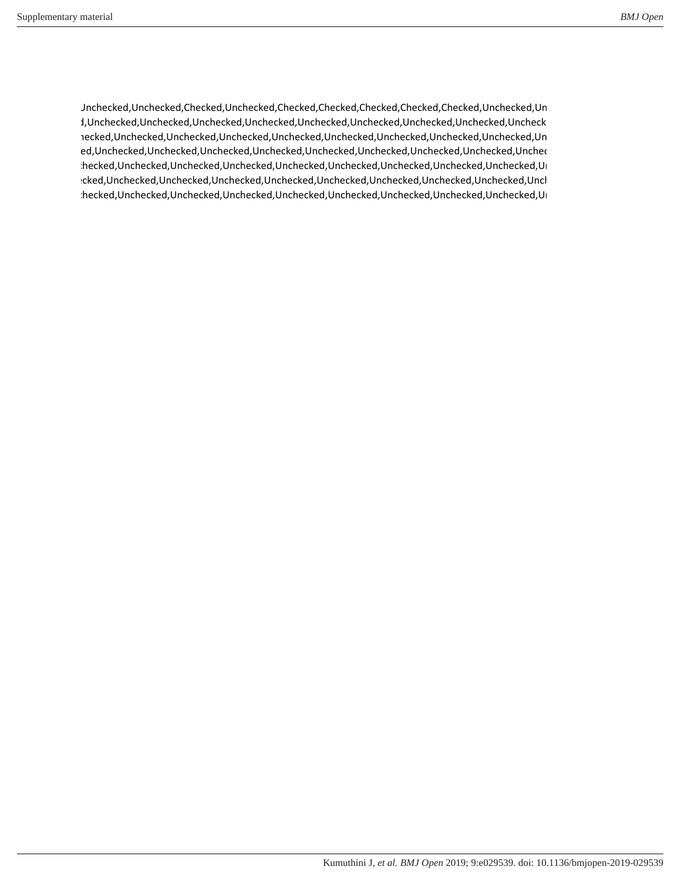d,Unchecked,Unchecked,Checked,Unchecked,Checked,Checked,Checked,Checked,Checked,Unchecked,Unchecke checked,Unchecked,Unchecked,Unchecked,Unchecked,Unchecked,Unchecked,Unchecked,Unchecked,Unchecke ,Unchecked,Unchecked,Unchecked,Unchecked,Unchecked,Unchecked,Unchecked,Unchecked,Unchecked,Unchecke checked,Unchecked,Unchecked,Unchecked,Unchecked,Unchecked,Unchecked,Unchecked,Unchecked,Unchecke ,Unchecked,Unchecked,Unchecked,Unchecked,Unchecked,Unchecked,Unchecked,Unchecked,Unchecked,Unchecke checked,Unchecked,Unchecked,Unchecked,Unchecked,Unchecked,Unchecked,Unchecked,Unchecked,Unchecke ,Unchecked,Unchecked,Unchecked,Unchecked,Unchecked,Unchecked,Unchecked,Unchecked,Unchecked,Unchecke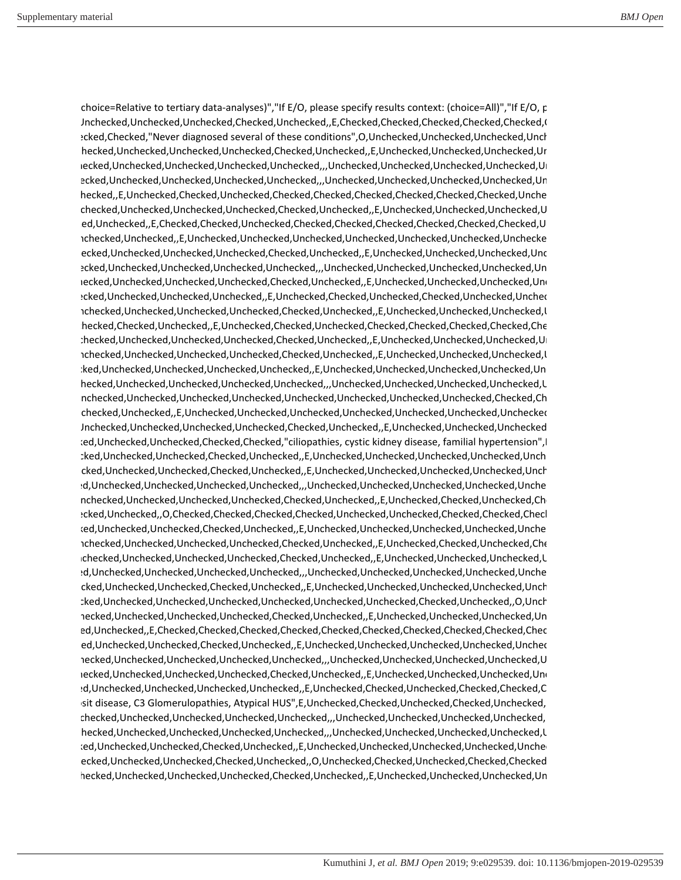choice=Relative to tertiary data-analyses)","If E/O, please specify results context: (choice=All)","If E/O, p d,Unchecked,Unchecked,Unchecked,Checked,Unchecked,,E,Checked,Checked,Checked,Checked,Checked,Ch ecked,Checked,"Never diagnosed several of these conditions",O,Unchecked,Unchecked,Unchecked,Unchecked,Unchecked,Unchecked,Unchecked,Unchecked,Unchecked,Unchecked,Unchecked,Unchecked,Unchecked,Unchecked,Unchecked,Unchecked, ,Unchecked,Unchecked,Unchecked,Unchecked,Checked,Unchecked,,E,Unchecked,Unchecked,Unchecked,Unchecke checked,Unchecked,Unchecked,Unchecked,Unchecked,,,Unchecked,Unchecked,Unchecked,Unchecked,Unchecke ecked,Unchecked,Unchecked,Unchecked,Unchecked,,,Unchecked,Unchecked,Unchecked,Unchecked,Unchecked,Un hecked,,E,Unchecked,Checked,Unchecked,Checked,Checked,Checked,Checked,Checked,Checked,Unche ,Unchecked,Unchecked,Unchecked,Unchecked,Checked,Unchecked,,E,Unchecked,Unchecked,Unchecked,Un checked,Unchecked,,E,Checked,Checked,Unchecked,Checked,Checked,Checked,Checked,Checked,Checked,Un ed,Unchecked,Unchecked,,E,Unchecked,Unchecked,Unchecked,Unchecked,Unchecked,Unchecked,Unchecked checked,Unchecked,Unchecked,Unchecked,Checked,Unchecked,,E,Unchecked,Unchecked,Unchecked,Unchecke checked,Unchecked,Unchecked,Unchecked,Unchecked,,,Unchecked,Unchecked,Unchecked,Unchecked,Unchecke checked,Unchecked,Unchecked,Unchecked,Checked,Unchecked,,E,Unchecked,Unchecked,Unchecked,Unchecke checked,Unchecked,Unchecked,Unchecked,,E,Unchecked,Checked,Unchecked,Checked,Unchecked,Unchecke ,Unchecked,Unchecked,Unchecked,Unchecked,Checked,Unchecked,,E,Unchecked,Unchecked,Unchecked,Un ,Unchecked,Checked,Unchecked,,E,Unchecked,Checked,Unchecked,Checked,Checked,Checked,Checked,Check ,Unchecked,Unchecked,Unchecked,Unchecked,Checked,Unchecked,,E,Unchecked,Unchecked,Unchecked,Unchecke ,Unchecked,Unchecked,Unchecked,Unchecked,Checked,Unchecked,,E,Unchecked,Unchecked,Unchecked,Un checked,Unchecked,Unchecked,Unchecked,Unchecked,,E,Unchecked,Unchecked,Unchecked,Unchecked,Unchecke ,Unchecked,Unchecked,Unchecked,Unchecked,Unchecked,,,Unchecked,Unchecked,Unchecked,Unchecked,Un ed,Unchecked,Unchecked,Unchecked,Unchecked,Unchecked,Unchecked,Unchecked,Unchecked,Checked,Check ,Unchecked,Unchecked,,E,Unchecked,Unchecked,Unchecked,Unchecked,Unchecked,Unchecked,Unchecked,Un d,Unchecked,Unchecked,Unchecked,Unchecked,Checked,Unchecked,,E,Unchecked,Unchecked,Unchecked,Un ced,Unchecked,Unchecked,Checked,Checked,"ciliopathies, cystic kidney disease, familial hypertension", checked,Unchecked,Unchecked,Checked,Unchecked,,E,Unchecked,Unchecked,Unchecked,Unchecked,Unchecke checked,Unchecked,Unchecked,Checked,Unchecked,,E,Unchecked,Unchecked,Unchecked,Unchecked,Unchecke checked,Unchecked,Unchecked,Unchecked,Unchecked,,,Unchecked,Unchecked,Unchecked,Unchecked,Unchecke ,Unchecked,Unchecked,Unchecked,Unchecked,Checked,Unchecked,,E,Unchecked,Checked,Unchecked,Check checked,Unchecked,,O,Checked,Checked,Checked,Checked,Unchecked,Unchecked,Checked,Checked,Checked,Ch checked,Unchecked,Unchecked,Checked,Unchecked,,E,Unchecked,Unchecked,Unchecked,Unchecked,Unchecke ,Unchecked,Unchecked,Unchecked,Unchecked,Checked,Unchecked,,E,Unchecked,Checked,Unchecked,Check ,Unchecked,Unchecked,Unchecked,Unchecked,Checked,Unchecked,,E,Unchecked,Unchecked,Unchecked,Un checked,Unchecked,Unchecked,Unchecked,Unchecked,,,Unchecked,Unchecked,Unchecked,Unchecked,Unchecke checked,Unchecked,Unchecked,Checked,Unchecked,,E,Unchecked,Unchecked,Unchecked,Unchecked,Unchecke checked,Unchecked,Unchecked,Unchecked,Unchecked,Unchecked,Unchecked,Checked,Unchecked,,O,Uncheck ,Unchecked,Unchecked,Unchecked,Unchecked,Checked,Unchecked,,E,Unchecked,Unchecked,Unchecked,Unchecke ecked,Unchecked,,E,Checked,Checked,Checked,Checked,Checked,Checked,Checked,Checked,Checked,Check checked,Unchecked,Unchecked,Checked,Unchecked,,E,Unchecked,Unchecked,Unchecked,Unchecked,Unchecke ,Unchecked,Unchecked,Unchecked,Unchecked,Unchecked,,,Unchecked,Unchecked,Unchecked,Unchecked,Un checked,Unchecked,Unchecked,Unchecked,Checked,Unchecked,,E,Unchecked,Unchecked,Unchecked,Unchecke checked,Unchecked,Unchecked,Unchecked,Unchecked,,E,Unchecked,Checked,Unchecked,Checked,Checked,Ch eposit disease, C3 Glomerulopathies, Atypical HUS",E,Unchecked,Checked,Unchecked,Checked,Unchecked,Un ,Unchecked,Unchecked,Unchecked,Unchecked,Unchecked,,,Unchecked,Unchecked,Unchecked,Unchecked,Un ,Unchecked,Unchecked,Unchecked,Unchecked,Unchecked,,,Unchecked,Unchecked,Unchecked,Unchecked,Un checked,Unchecked,Unchecked,Checked,Unchecked,,E,Unchecked,Unchecked,Unchecked,Unchecked,Unchecke checked,Unchecked,Unchecked,Checked,Unchecked,,O,Unchecked,Checked,Unchecked,Checked,Checked,Ch ,Unchecked,Unchecked,Unchecked,Unchecked,Checked,Unchecked,,E,Unchecked,Unchecked,Unchecked,Unchecke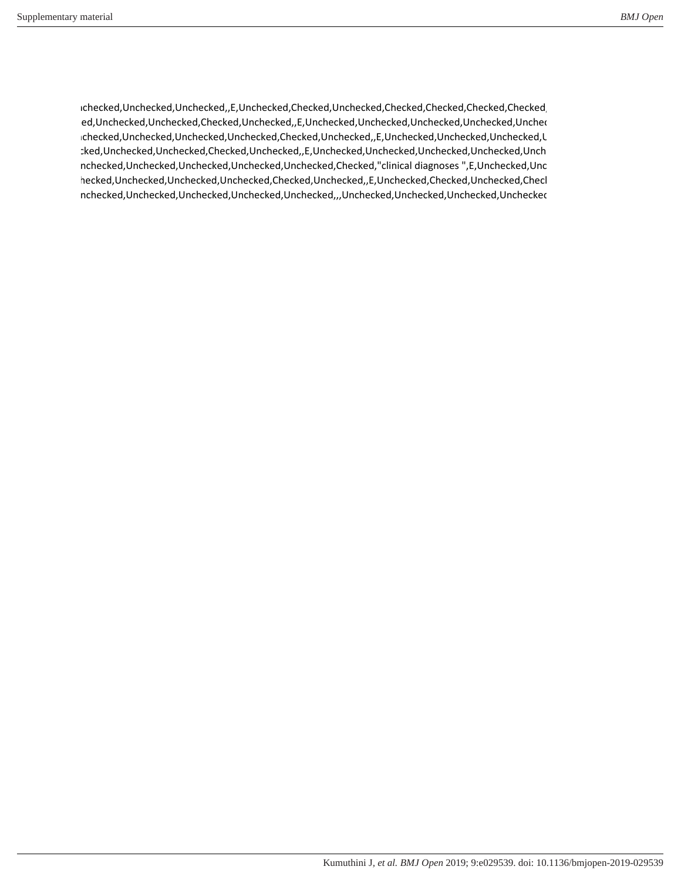,Unchecked,Unchecked,Unchecked,,E,Unchecked,Checked,Unchecked,Checked,Checked,Checked,Checked,Ch ed,Unchecked,Unchecked,Checked,Unchecked,,E,Unchecked,Unchecked,Unchecked,Unchecked,Unchec ,Unchecked,Unchecked,Unchecked,Unchecked,Checked,Unchecked,,E,Unchecked,Unchecked,Unchecked,Un checked,Unchecked,Unchecked,Checked,Unchecked,,E,Unchecked,Unchecked,Unchecked,Unchecked,Unchecke ,Unchecked,Unchecked,Unchecked,Unchecked,Unchecked,Checked,"clinical diagnoses ",E,Unchecked,Unchecke ,Unchecked,Unchecked,Unchecked,Unchecked,Checked,Unchecked,,E,Unchecked,Checked,Unchecked,Checked,Ch ,Unchecked,Unchecked,Unchecked,Unchecked,Unchecked,,,Unchecked,Unchecked,Unchecked,Unchecked,Un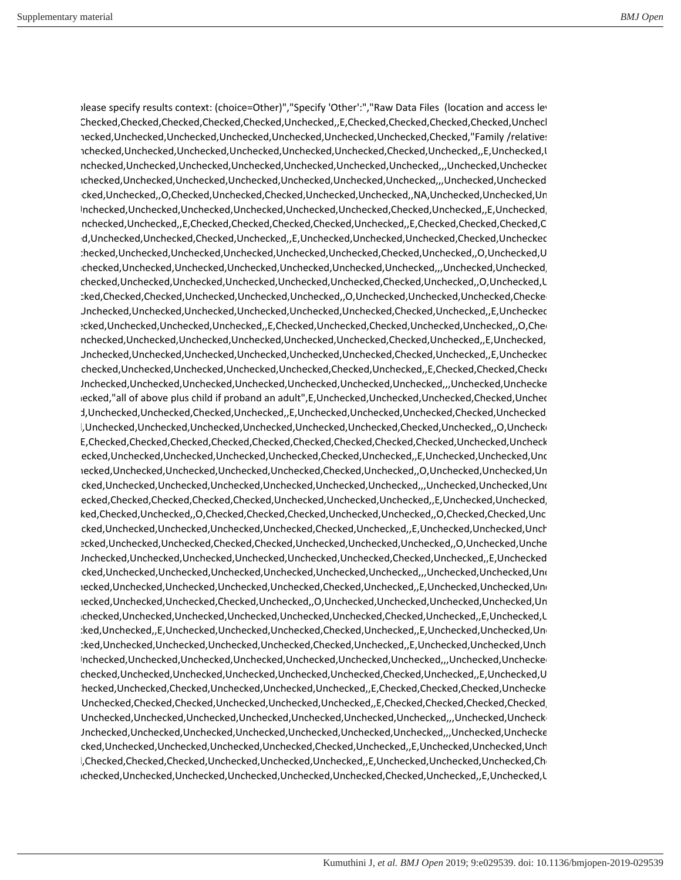Dease specify results context: (choice=Other)","Specify 'Other':","Raw Data Files (location and access level) ed,Checked,Checked,Checked,Checked,Checked,Unchecked,,E,Checked,Checked,Checked,Checked,Unchecke ,Unchecked,Unchecked,Unchecked,Unchecked,Unchecked,Unchecked,Unchecked,Checked,"Family /relatives ,Unchecked,Unchecked,Unchecked,Unchecked,Unchecked,Unchecked,Checked,Unchecked,,E,Unchecked,Un ,Unchecked,Unchecked,Unchecked,Unchecked,Unchecked,Unchecked,Unchecked,,,Unchecked,Unchecked,Un ,Unchecked,Unchecked,Unchecked,Unchecked,Unchecked,Unchecked,Unchecked,,,Unchecked,Unchecked,Un checked,Unchecked,,O,Checked,Unchecked,Checked,Unchecked,Unchecked,,NA,Unchecked,Unchecked,Unchecke ,Unchecked,Unchecked,Unchecked,Unchecked,Unchecked,Unchecked,Checked,Unchecked,,E,Unchecked,Un ed,Unchecked,Unchecked,,E,Checked,Checked,Checked,Checked,Unchecked,,E,Checked,Checked,Checked,Ch d,Unchecked,Unchecked,Checked,Unchecked,,E,Unchecked,Unchecked,Unchecked,Checked,Uncheckec ,Unchecked,Unchecked,Unchecked,Unchecked,Unchecked,Unchecked,Checked,Unchecked,,O,Unchecked,Un ,Unchecked,Unchecked,Unchecked,Unchecked,Unchecked,Unchecked,Unchecked,,,Unchecked,Unchecked,Un ,Unchecked,Unchecked,Unchecked,Unchecked,Unchecked,Unchecked,Checked,Unchecked,,O,Unchecked,Un checked,Checked,Checked,Unchecked,Unchecked,Unchecked,,O,Unchecked,Unchecked,Unchecked,Checked,Un d,Unchecked,Unchecked,Unchecked,Unchecked,Unchecked,Unchecked,Checked,Unchecked,,E,Unchecked,Un ed,Unchecked,Unchecked,Unchecked,Unchecked,E,Checked,Unchecked,Unchecked,O,Checked,O,Checked, ,Unchecked,Unchecked,Unchecked,Unchecked,Unchecked,Unchecked,Checked,Unchecked,,E,Unchecked,Un d,Unchecked,Unchecked,Unchecked,Unchecked,Unchecked,Unchecked,Checked,Unchecked,,E,Unchecked,Un ,Unchecked,Unchecked,Unchecked,Unchecked,Unchecked,Checked,Unchecked,,E,Checked,Checked,Checked,Un d,Unchecked,Unchecked,Unchecked,Unchecked,Unchecked,Unchecked,Unchecked,,,Unchecked,Unchecked lecked,"all of above plus child if proband an adult", E, Unchecked, Unchecked, Unchecked, Checked, Unchec d,Unchecked,Unchecked,Checked,Unchecked,E,Unchecked,Unchecked,Unchecked,Unchecked,Unchecked l,Unchecked,Unchecked,Unchecked,Unchecked,Unchecked,Unchecked,Checked,Unchecked,,O,Uncheck ",E,Checked,Checked,Checked,Checked,Checked,Checked,Checked,Checked,Checked,Unchecked,Unchecke checked,Unchecked,Unchecked,Unchecked,Unchecked,Checked,Unchecked,,E,Unchecked,Unchecked,Unchecke checked,Unchecked,Unchecked,Unchecked,Unchecked,Checked,Unchecked,,O,Unchecked,Unchecked,Unchecke checked,Unchecked,Unchecked,Unchecked,Unchecked,Unchecked,Unchecked,,,Unchecked,Unchecked,Unchecke ,Checked,Checked,Checked,Checked,Checked,Unchecked,Unchecked,Unchecked,,E,Unchecked,Unchecked,Un ked,Checked,Unchecked,,O,Checked,Checked,Checked,Unchecked,Unchecked,,O,Checked,Checked,Unc checked,Unchecked,Unchecked,Unchecked,Unchecked,Checked,Unchecked,,E,Unchecked,Unchecked,Unchecke ,Checked,Unchecked,Unchecked,Checked,Checked,Unchecked,Unchecked,Unchecked,,O,Unchecked,Unchecke d,Unchecked,Unchecked,Unchecked,Unchecked,Unchecked,Unchecked,Checked,Unchecked,,E,Unchecked,Un checked,Unchecked,Unchecked,Unchecked,Unchecked,Unchecked,Unchecked,,,Unchecked,Unchecked,Unchecke checked,Unchecked,Unchecked,Unchecked,Unchecked,Checked,Unchecked,,E,Unchecked,Unchecked,Unchecke ,,O,Unchecked,Unchecked,Unchecked,Checked,Unchecked,,O,Unchecked,Unchecked,Unchecked,Unchecked,Unchecke ,Unchecked,Unchecked,Unchecked,Unchecked,Unchecked,Unchecked,Checked,Unchecked,,E,Unchecked,Un ecked,Unchecked,,E,Unchecked,Unchecked,Unchecked,Checked,Unchecked,,E,Unchecked,Unchecked,Unchecke checked,Unchecked,Unchecked,Unchecked,Unchecked,Checked,Unchecked,,E,Unchecked,Unchecked,Unchecke ,Unchecked,Unchecked,Unchecked,Unchecked,Unchecked,Unchecked,Unchecked,,,Unchecked,Unchecked,Un ,Unchecked,Unchecked,Unchecked,Unchecked,Unchecked,Unchecked,Checked,Unchecked,,E,Unchecked,Un ed,Checked,Unchecked,Checked,Unchecked,Unchecked,Unchecked,,E,Checked,Checked,Checked,Unchecked d,Unchecked,Checked,Checked,Unchecked,Unchecked,Unchecked,,E,Checked,Checked,Checked,Checked,Un d,Unchecked,Unchecked,Unchecked,Unchecked,Unchecked,Unchecked,Unchecked,,,Unchecked,Unchecked d,Unchecked,Unchecked,Unchecked,Unchecked,Unchecked,Unchecked,Unchecked,,,Unchecked,Unchecked checked,Unchecked,Unchecked,Unchecked,Unchecked,Checked,Unchecked,,E,Unchecked,Unchecked,Unchecke l,Checked,Checked,Checked,Unchecked,Unchecked,Unchecked,,E,Unchecked,Unchecked,Unchecked,Ch ,Unchecked,Unchecked,Unchecked,Unchecked,Unchecked,Unchecked,Checked,Unchecked,,E,Unchecked,Un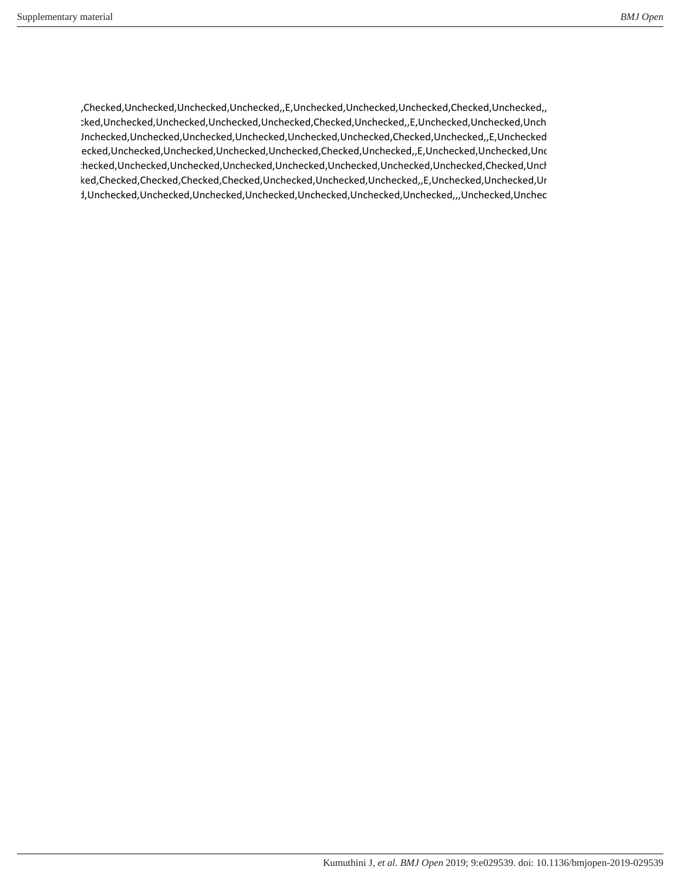ed,Checked,Unchecked,Unchecked,Unchecked,,E,Unchecked,Unchecked,Unchecked,Checked,Unchecked,,E,Checke checked,Unchecked,Unchecked,Unchecked,Unchecked,Checked,Unchecked,,E,Unchecked,Unchecked,Unchecke d,Unchecked,Unchecked,Unchecked,Unchecked,Unchecked,Unchecked,Checked,Unchecked,,E,Unchecked,Un checked,Unchecked,Unchecked,Unchecked,Unchecked,Checked,Unchecked,,E,Unchecked,Unchecked,Unchecke :hecked,Unchecked,Unchecked,Unchecked,Unchecked,Unchecked,Unchecked,Unchecked,Checked,Unch ecked,Checked,Checked,Checked,Checked,Unchecked,Unchecked,Unchecked,,E,Unchecked,Unchecked,Unchecke checked,Unchecked,Unchecked,Unchecked,Unchecked,Unchecked,Unchecked,Unchecked,,,Unchecked,Unchecke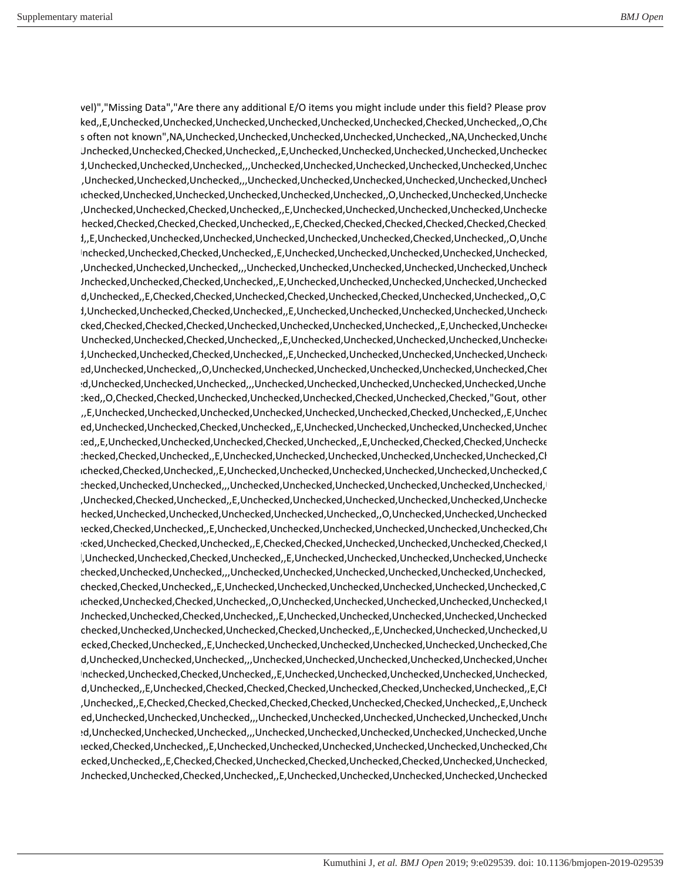vel)","Missing Data","Are there any additional E/O items you might include under this field? Please provide to checked,,E,Unchecked,Unchecked,Unchecked,Unchecked,Unchecked,Unchecked,Checked,Unchecked,,O,Checke s often not known",NA,Unchecked,Unchecked,Unchecked,Unchecked,Unchecked,,NA,Unchecked,Unche ed,Unchecked,Unchecked,Checked,Unchecked,,E,Unchecked,Unchecked,Unchecked,Unchecked,Unchecked,Un checked,Unchecked,Unchecked,Unchecked,,,Unchecked,Unchecked,Unchecked,Unchecked,Unchecked,Unchecke checked,Unchecked,Unchecked,Unchecked,,,Unchecked,Unchecked,Unchecked,Unchecked,Unchecked,Unchecke ,Unchecked,Unchecked,Unchecked,Unchecked,Unchecked,Unchecked,,O,Unchecked,Unchecked,Unchecked ed,Unchecked,Unchecked,Checked,Unchecked,,E,Unchecked,Unchecked,Unchecked,Unchecked,Unchecked ed,Checked,Checked,Checked,Checked,Unchecked,,E,Checked,Checked,Checked,Checked,Checked,Checked,Ch checked,,E,Unchecked,Unchecked,Unchecked,Unchecked,Unchecked,Unchecked,Checked,Unchecked,,O,Uncheck ed,Unchecked,Unchecked,Checked,Unchecked,,E,Unchecked,Unchecked,Unchecked,Unchecked,Unchecked,Un checked,Unchecked,Unchecked,Unchecked,,,Unchecked,Unchecked,Unchecked,Unchecked,Unchecked,Unchecke ed,Unchecked,Unchecked,Checked,Unchecked,,E,Unchecked,Unchecked,Unchecked,Unchecked,Unchecked,Un d,Unchecked,,E,Checked,Checked,Unchecked,Checked,Unchecked,Unchecked,Onchecked,,O,C ecked,Unchecked,Unchecked,Checked,Unchecked,,E,Unchecked,Unchecked,Unchecked,Unchecked,Unchecked ,,O,Checked,Checked,Checked,Checked,Unchecked,Unchecked,Unchecked,Unchecked,,E,Unchecked,Unchecked,Ch ed,Unchecked,Unchecked,Checked,Unchecked,,E,Unchecked,Unchecked,Unchecked,Unchecked,Unchecked,Un ecked,Unchecked,Unchecked,Checked,Unchecked,,E,Unchecked,Unchecked,Unchecked,Unchecked,Unchecked ecked,Unchecked,Unchecked,,O,Unchecked,Unchecked,Unchecked,Unchecked,Unchecked,Unchecked,Check checked,Unchecked,Unchecked,Unchecked,,,Unchecked,Unchecked,Unchecked,Unchecked,Unchecked,Unchecke cked,,O,Checked,Checked,Unchecked,Unchecked,Unchecked,Checked,Unchecked,Checked,"Gout, other checked,,E,Unchecked,Unchecked,Unchecked,Unchecked,Unchecked,Unchecked,Checked,Unchecked,,E,Uncheck ecked,Unchecked,Unchecked,Checked,Unchecked,,E,Unchecked,Unchecked,Unchecked,Unchecked,Unchecke checked,,E,Unchecked,Unchecked,Unchecked,Checked,Unchecked,,E,Unchecked,Checked,Checked,Unchecked ,Unchecked,Checked,Unchecked,,E,Unchecked,Unchecked,Unchecked,Unchecked,Unchecked,Unchecked,Check ,Unchecked,Checked,Unchecked,,E,Unchecked,Unchecked,Unchecked,Unchecked,Unchecked,Unchecked,Ch ,Unchecked,Unchecked,Unchecked,,,Unchecked,Unchecked,Unchecked,Unchecked,Unchecked,Unchecked,Un checked,Unchecked,Checked,Unchecked,,E,Unchecked,Unchecked,Unchecked,Unchecked,Unchecked,Unchecked hecked,Unchecked,Unchecked,Unchecked,Unchecked,Unchecked,O,Unchecked,Unchecked,Unchecked ,Unchecked,Checked,Unchecked,,E,Unchecked,Unchecked,Unchecked,Unchecked,Unchecked,Unchecked,Check checked,Unchecked,Checked,Unchecked,,E,Checked,Checked,Unchecked,Unchecked,Unchecked,Checked,Un ed,Unchecked,Unchecked,Checked,Unchecked,,E,Unchecked,Unchecked,Unchecked,Unchecked,Unchecked ,Unchecked,Unchecked,Unchecked,,,Unchecked,Unchecked,Unchecked,Unchecked,Unchecked,Unchecked,Un ,Unchecked,Checked,Unchecked,,E,Unchecked,Unchecked,Unchecked,Unchecked,Unchecked,Unchecked,Ch ,Unchecked,Unchecked,Checked,Unchecked,,O,Unchecked,Unchecked,Unchecked,Unchecked,Unchecked,Un ed,Unchecked,Unchecked,Checked,Unchecked,,E,Unchecked,Unchecked,Unchecked,Unchecked,Unchecked,Un ,Unchecked,Unchecked,Unchecked,Unchecked,Checked,Unchecked,,E,Unchecked,Unchecked,Unchecked,Un ecked,Checked,Unchecked,,E,Unchecked,Unchecked,Unchecked,Unchecked,Unchecked,Che d,Unchecked,Unchecked,Unchecked,,Unchecked,Unchecked,Unchecked,Unchecked,Unchecked,Unchecked,Unchecked,Unchec ed,Unchecked,Unchecked,Checked,Unchecked,,E,Unchecked,Unchecked,Unchecked,Unchecked,Unchecked,Un d,Unchecked,,E,Unchecked,Checked,Checked,Checked,Unchecked,Unchecked,Unchecked,E,Checked,Unchecked,,E,Checked, ed,Unchecked,,E,Checked,Checked,Checked,Checked,Checked,Unchecked,Checked,Unchecked,,E,Unchecked,Un ed,Unchecked,Unchecked,Unchecked,,Unchecked,Unchecked,Unchecked,Unchecked,Unchecked,Unche checked,Unchecked,Unchecked,Unchecked,,,Unchecked,Unchecked,Unchecked,Unchecked,Unchecked,Unchecke checked,Checked,Unchecked,,E,Unchecked,Unchecked,Unchecked,Unchecked,Unchecked,Unchecked,Check ,Checked,Unchecked,,E,Checked,Checked,Unchecked,Checked,Unchecked,Checked,Unchecked,Unchecked,,E,Unch ed,Unchecked,Unchecked,Checked,Unchecked,,E,Unchecked,Unchecked,Unchecked,Unchecked,Unchecked,Un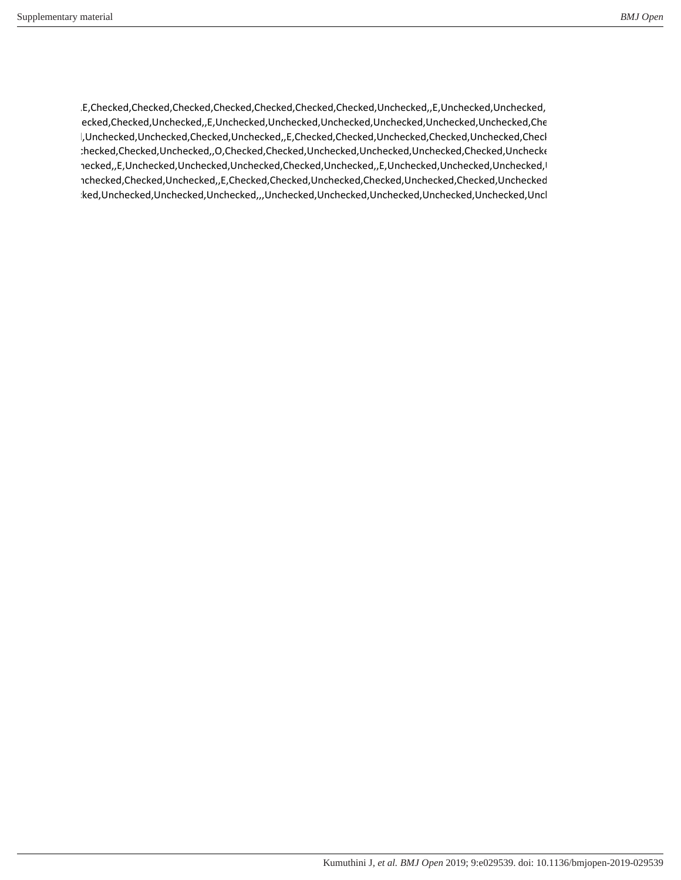d,,E,Checked,Checked,Checked,Checked,Checked,Checked,Checked,Unchecked,,E,Unchecked,Unchecked,Un checked,Checked,Unchecked,,E,Unchecked,Unchecked,Unchecked,Unchecked,Unchecked,Unchecked,Check l,Unchecked,Unchecked,Checked,Unchecked,,E,Checked,Checked,Unchecked,Checked,Unchecked,Checl ,Unchecked,Checked,Unchecked,,O,Checked,Checked,Unchecked,Unchecked,Unchecked,Checked,Unchecked ed,Unchecked,,E,Unchecked,Unchecked,Unchecked,Checked,Unchecked,,E,Unchecked,Unchecked,Unchecked,Un ,Unchecked,Checked,Unchecked,,E,Checked,Checked,Unchecked,Checked,Unchecked,Checked,Unchecked,Un checked,Unchecked,Unchecked,Unchecked,,,Unchecked,Unchecked,Unchecked,Unchecked,Unchecked,Unchecke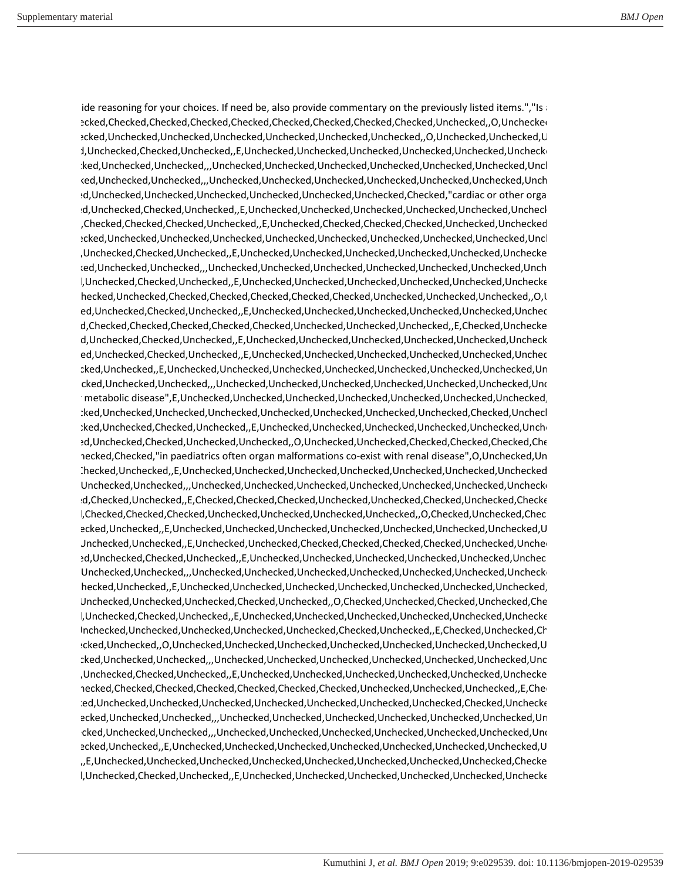ide reasoning for your choices. If need be, also provide commentary on the previously listed items.","Is ,,O,Checked,Checked,Checked,Checked,Checked,Checked,Checked,Checked,Checked,Unchecked,,O,Unchecked,Ch checked,Unchecked,Unchecked,Unchecked,Unchecked,Unchecked,Unchecked,,O,Unchecked,Unchecked,Un checked,Unchecked,Checked,Unchecked,,E,Unchecked,Unchecked,Unchecked,Unchecked,Unchecked,Unchecked checked,Unchecked,Unchecked,,,Unchecked,Unchecked,Unchecked,Unchecked,Unchecked,Unchecked,Unchecke checked,Unchecked,Unchecked,,,Unchecked,Unchecked,Unchecked,Unchecked,Unchecked,Unchecked,Unchecke checked,Unchecked,Unchecked,Unchecked,Unchecked,Unchecked,Unchecked,Checked,"cardiac or other organ checked,Unchecked,Checked,Unchecked,,E,Unchecked,Unchecked,Unchecked,Unchecked,Unchecked,Unchecke ed,Checked,Checked,Checked,Unchecked,,E,Unchecked,Checked,Checked,Checked,Unchecked,Unchecked,Ch ,,O,Unchecked,Unchecked,Unchecked,Unchecked,Unchecked,Unchecked,Unchecked,Unchecked,Unchecked,Unchecke checked,Unchecked,Checked,Unchecked,,E,Unchecked,Unchecked,Unchecked,Unchecked,Unchecked,Unchecked checked,Unchecked,Unchecked,,,Unchecked,Unchecked,Unchecked,Unchecked,Unchecked,Unchecked,Unchecke checked,Unchecked,Checked,Unchecked,,E,Unchecked,Unchecked,Unchecked,Unchecked,Unchecked,Unchecked ,,O,Checked,Unchecked,Checked,Checked,Checked,Checked,Checked,Unchecked,Unchecked,Unchecked,,O,Unch checked,Unchecked,Checked,Unchecked,,E,Unchecked,Unchecked,Unchecked,Unchecked,Unchecked,Unchecke checked,Checked,Checked,Checked,Checked,Checked,Unchecked,Unchecked,Unchecked,,E,Checked,Unchecked checked,Unchecked,Checked,Unchecked,,E,Unchecked,Unchecked,Unchecked,Unchecked,Unchecked,Unchecke checked,Unchecked,Checked,Unchecked,,E,Unchecked,Unchecked,Unchecked,Unchecked,Unchecked,Unchecke ,Checked,Unchecked,,E,Unchecked,Unchecked,Unchecked,Unchecked,Unchecked,Unchecked,Unchecked,Unchecke checked,Unchecked,Unchecked,,,Unchecked,Unchecked,Unchecked,Unchecked,Unchecked,Unchecked,Unchecke ther metabolic disease",E,Unchecked,Unchecked,Unchecked,Unchecked,Unchecked,Unchecked,Unchecked,Un ,,E,Unchecked,Unchecked,Unchecked,Unchecked,Unchecked,Unchecked,Unchecked,Unchecked,Checked,Unchecke checked,Unchecked,Checked,Unchecked,,E,Unchecked,Unchecked,Unchecked,Unchecked,Unchecked,Unchecke checked,Unchecked,Checked,Unchecked,Unchecked,,O,Unchecked,Unchecked,Checked,Checked,Checked,Check hecked,Checked,"in paediatrics often organ malformations co-exist with renal disease",O,Unchecked,Un d,Checked,Unchecked,,E,Unchecked,Unchecked,Unchecked,Unchecked,Unchecked,Unchecked,Unchecked,Un d,Unchecked,Unchecked,,,Unchecked,Unchecked,Unchecked,Unchecked,Unchecked,Unchecked,Unchecked checked,Checked,Unchecked,,E,Checked,Checked,Checked,Unchecked,Unchecked,Checked,Unchecked,Checked,Un checked,Checked,Checked,Checked,Unchecked,Unchecked,Unchecked,Unchecked,,O,Checked,Unchecked,Checked,Un ,Checked,Unchecked,,E,Unchecked,Unchecked,Unchecked,Unchecked,Unchecked,Unchecked,Unchecked,Un ed,Unchecked,Unchecked,,E,Unchecked,Unchecked,Checked,Checked,Checked,Checked,Unchecked,Unchecke checked,Unchecked,Checked,Unchecked,,E,Unchecked,Unchecked,Unchecked,Unchecked,Unchecked,Unchecke d,Unchecked,Unchecked,,,Unchecked,Unchecked,Unchecked,Unchecked,Unchecked,Unchecked,Unchecked ,Checked,Unchecked,,E,Unchecked,Unchecked,Unchecked,Unchecked,Unchecked,Unchecked,Unchecked,Un d,Unchecked,Unchecked,Unchecked,Checked,Unchecked,,O,Checked,Unchecked,Checked,Unchecked,Check checked,Unchecked,Checked,Unchecked,,E,Unchecked,Unchecked,Unchecked,Unchecked,Unchecked,Unchecked ,Unchecked,Unchecked,Unchecked,Unchecked,Unchecked,Checked,Unchecked,,E,Checked,Unchecked,Check ,Checked,Unchecked,,O,Unchecked,Unchecked,Unchecked,Unchecked,Unchecked,Unchecked,Unchecked,Un checked,Unchecked,Unchecked,,,Unchecked,Unchecked,Unchecked,Unchecked,Unchecked,Unchecked,Unchecke checked,Unchecked,Checked,Unchecked,,E,Unchecked,Unchecked,Unchecked,Unchecked,Unchecked,Unchecked hecked,Checked,Checked,Checked,Checked,Checked,Checked,Unchecked,Unchecked,Unchecked,E,Che ecked,Unchecked,Unchecked,Unchecked,Unchecked,Unchecked,Unchecked,Unchecked,Checked,Unchecked ecked,Unchecked,Unchecked,,,Unchecked,Unchecked,Unchecked,Unchecked,Unchecked,Unchecked,Unchecked,Un checked,Unchecked,Unchecked,,,Unchecked,Unchecked,Unchecked,Unchecked,Unchecked,Unchecked,Unchecke ,Checked,Unchecked,,E,Unchecked,Unchecked,Unchecked,Unchecked,Unchecked,Unchecked,Unchecked,Un checked,,E,Unchecked,Unchecked,Unchecked,Unchecked,Unchecked,Unchecked,Unchecked,Unchecked,Checked,Un checked,Unchecked,Checked,Unchecked,,E,Unchecked,Unchecked,Unchecked,Unchecked,Unchecked,Unchecked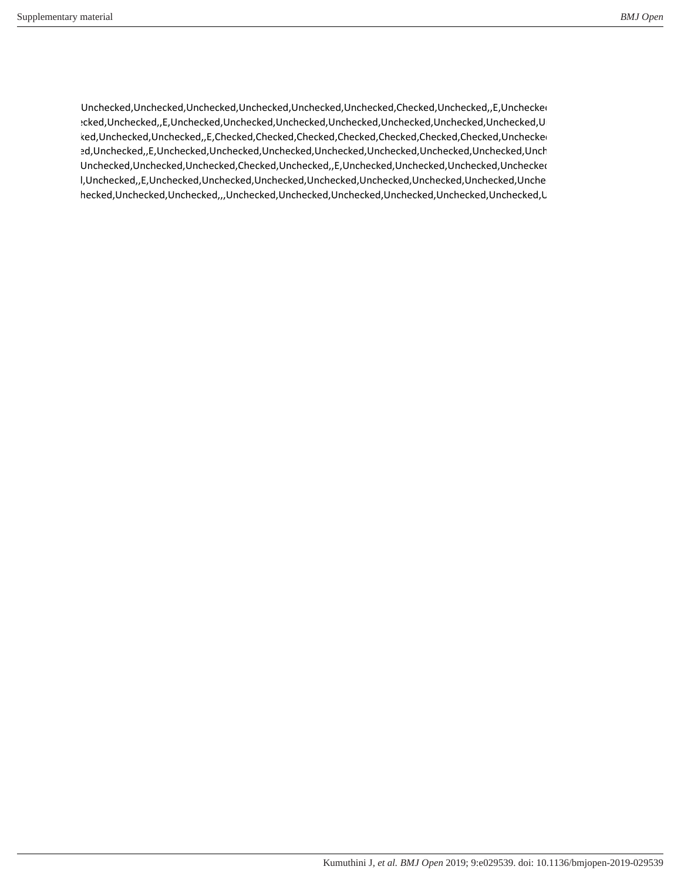d,Unchecked,Unchecked,Unchecked,Unchecked,Unchecked,Unchecked,Checked,Unchecked,,E,Unchecked,Ch ,Checked,Unchecked,,E,Unchecked,Unchecked,Unchecked,Unchecked,Unchecked,Unchecked,Unchecked,Unchecke ked,Unchecked,Unchecked,,E,Checked,Checked,Checked,Checked,Checked,Checked,Checked,Unchecke checked,Unchecked,,E,Unchecked,Unchecked,Unchecked,Unchecked,Unchecked,Unchecked,Unchecked,Unchecke d,Unchecked,Unchecked,Unchecked,Checked,Unchecked,,E,Unchecked,Unchecked,Unchecked,Unchecked,Un checked,Unchecked,,E,Unchecked,Unchecked,Unchecked,Unchecked,Unchecked,Unchecked,Unchecked,Unchecke ,Unchecked,Unchecked,Unchecked,,,Unchecked,Unchecked,Unchecked,Unchecked,Unchecked,Unchecked,Un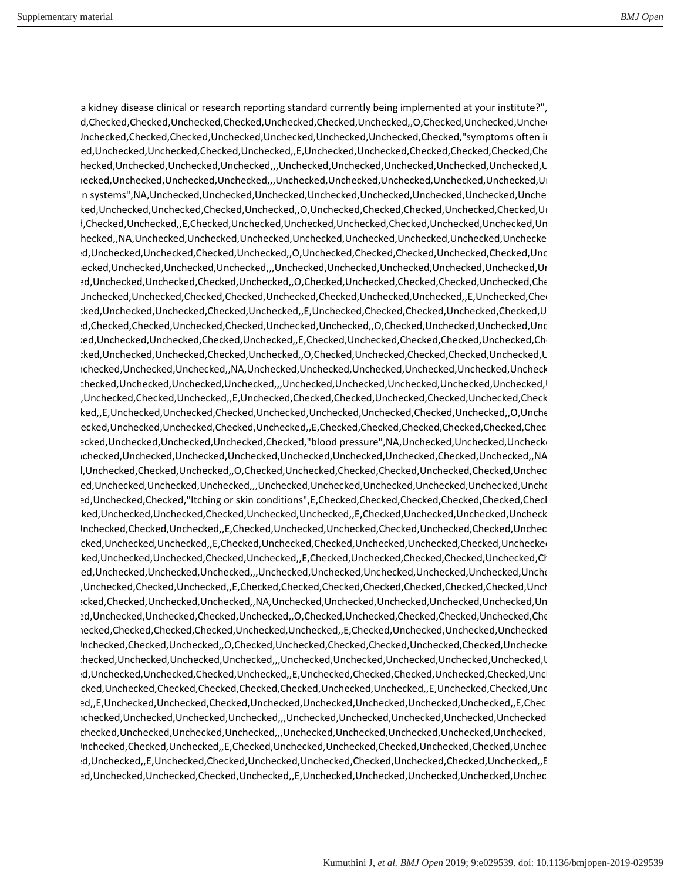a kidney disease clinical or research reporting standard currently being implemented at your institute?", ecked,Checked,Checked,Unchecked,Checked,Unchecked,Checked,Unchecked,,O,Checked,Unchecked,Unchecke Jnchecked,Checked,Checked,Unchecked,Unchecked,Unchecked,Unchecked,Checked,"symptoms often in checked,Unchecked,Unchecked,Checked,Unchecked,,E,Unchecked,Unchecked,Checked,Checked,Checked,Check ,Unchecked,Unchecked,Unchecked,Unchecked,,,Unchecked,Unchecked,Unchecked,Unchecked,Unchecked,Un checked,Unchecked,Unchecked,Unchecked,,,Unchecked,Unchecked,Unchecked,Unchecked,Unchecked,Unchecke rgan systems",NA,Unchecked,Unchecked,Unchecked,Unchecked,Unchecked,Unchecked,Unchecked,Unchecke checked,Unchecked,Unchecked,Checked,Unchecked,,O,Unchecked,Checked,Checked,Unchecked,Checked,Unchecke checked,Checked,Unchecked,,E,Checked,Unchecked,Unchecked,Unchecked,Checked,Unchecked,Unchecked,Unchecke ,Unchecked,,NA,Unchecked,Unchecked,Unchecked,Unchecked,Unchecked,Unchecked,Unchecked,Unchecked checked,Unchecked,Unchecked,Checked,Unchecked,,O,Unchecked,Checked,Checked,Unchecked,Checked,Unchecke checked,Unchecked,Unchecked,Unchecked,,,Unchecked,Unchecked,Unchecked,Unchecked,Unchecked,Unchecke checked,Unchecked,Unchecked,Checked,Unchecked,,O,Checked,Unchecked,Checked,Checked,Unchecked,Check ,,O,Unchecked,Unchecked,Checked,Checked,Unchecked,Checked,Unchecked,Unchecked,,E,Unchecked,Check checked,Unchecked,Unchecked,Checked,Unchecked,,E,Unchecked,Checked,Checked,Unchecked,Checked,Un checked,Checked,Checked,Unchecked,Checked,Unchecked,Unchecked,,O,Checked,Unchecked,Unchecked,Unchecke checked,Unchecked,Unchecked,Checked,Unchecked,,E,Checked,Unchecked,Checked,Checked,Unchecked,Check checked,Unchecked,Unchecked,Checked,Unchecked,,O,Checked,Unchecked,Checked,Checked,Unchecked,Un ,Unchecked,Unchecked,Unchecked,,NA,Unchecked,Unchecked,Unchecked,Unchecked,Unchecked,Unchecke ,Unchecked,Unchecked,Unchecked,Unchecked,,,Unchecked,Unchecked,Unchecked,Unchecked,Unchecked,Un checked,Unchecked,Checked,Unchecked,,E,Unchecked,Checked,Checked,Unchecked,Checked,Unchecked,Checked,Un checked,,E,Unchecked,Unchecked,Checked,Unchecked,Unchecked,Unchecked,Checked,Unchecked,,O,Uncheck checked,Unchecked,Unchecked,Checked,Unchecked,,E,Checked,Checked,Checked,Checked,Checked,Checked,Ch ecked,Unchecked,Unchecked,Unchecked,Checked,"blood pressure",NA,Unchecked,Unchecked,Unchecked, ,Unchecked,Unchecked,Unchecked,Unchecked,Unchecked,Unchecked,Unchecked,Checked,Unchecked,,NA,U l,Unchecked,Checked,Unchecked,,O,Checked,Unchecked,Checked,Checked,Unchecked,Checked,Unchec ed,Unchecked,Unchecked,Unchecked,,,Unchecked,Unchecked,Unchecked,Unchecked,Unchecked,Unche ed,Unchecked,Checked,"Itching or skin conditions",E,Checked,Checked,Checked,Checked,Checked,Checked,Check ecked,Unchecked,Unchecked,Checked,Unchecked,Unchecked,,E,Checked,Unchecked,Unchecked,Unchecke ,Unchecked,Checked,Unchecked,,E,Checked,Unchecked,Unchecked,Checked,Unchecked,Checked,Unchecke checked,Unchecked,Unchecked,,E,Checked,Unchecked,Checked,Unchecked,Unchecked,Checked,Unchecked,Un ked,Unchecked,Unchecked,Checked,Unchecked,,E,Checked,Unchecked,Checked,Checked,Unchecked,Checked,Checked,Checked,Checked,Checked,Checked,Checked,Checked,Checked,Checked,Checked,Checked,Checked,Checked,Checked,Checked,Check ed,Unchecked,Unchecked,Unchecked,,Unchecked,Unchecked,Unchecked,Unchecked,Unchecked,Unche checked,Unchecked,Checked,Unchecked,,E,Checked,Checked,Checked,Checked,Checked,Checked,Checked,Unchecke ,Checked,Checked,Unchecked,Unchecked,,NA,Unchecked,Unchecked,Unchecked,Unchecked,Unchecked,Unchecke checked,Unchecked,Unchecked,Checked,Unchecked,,O,Checked,Unchecked,Checked,Checked,Unchecked,Check ,Checked,Checked,Checked,Checked,Unchecked,Unchecked,,E,Checked,Unchecked,Unchecked,Unchecked,Ch ,Unchecked,Checked,Unchecked,,O,Checked,Unchecked,Checked,Checked,Unchecked,Checked,Unchecked ,Unchecked,Unchecked,Unchecked,Unchecked,,,Unchecked,Unchecked,Unchecked,Unchecked,Unchecked,Un checked,Unchecked,Unchecked,Checked,Unchecked,,E,Unchecked,Checked,Checked,Unchecked,Checked,Unchecke ,,E,Checked,Unchecked,Checked,Checked,Checked,Checked,Unchecked,Unchecked,,E,Unchecked,Checked,Unchecke checked,,E,Unchecked,Unchecked,Checked,Unchecked,Unchecked,Unchecked,Unchecked,Unchecked,,E,Checke ,Unchecked,Unchecked,Unchecked,Unchecked,,,Unchecked,Unchecked,Unchecked,Unchecked,Unchecked,Un ,Unchecked,Unchecked,Unchecked,Unchecked,,,Unchecked,Unchecked,Unchecked,Unchecked,Unchecked,Un ,Unchecked,Checked,Unchecked,,E,Checked,Unchecked,Unchecked,Checked,Unchecked,Checked,Unchecke ecked,Unchecked,,E,Unchecked,Checked,Unchecked,Unchecked,Checked,Unchecked,Checked,Unchecked,,E,Checke checked,Unchecked,Unchecked,Checked,Unchecked,,E,Unchecked,Unchecked,Unchecked,Unchecked,Unchecke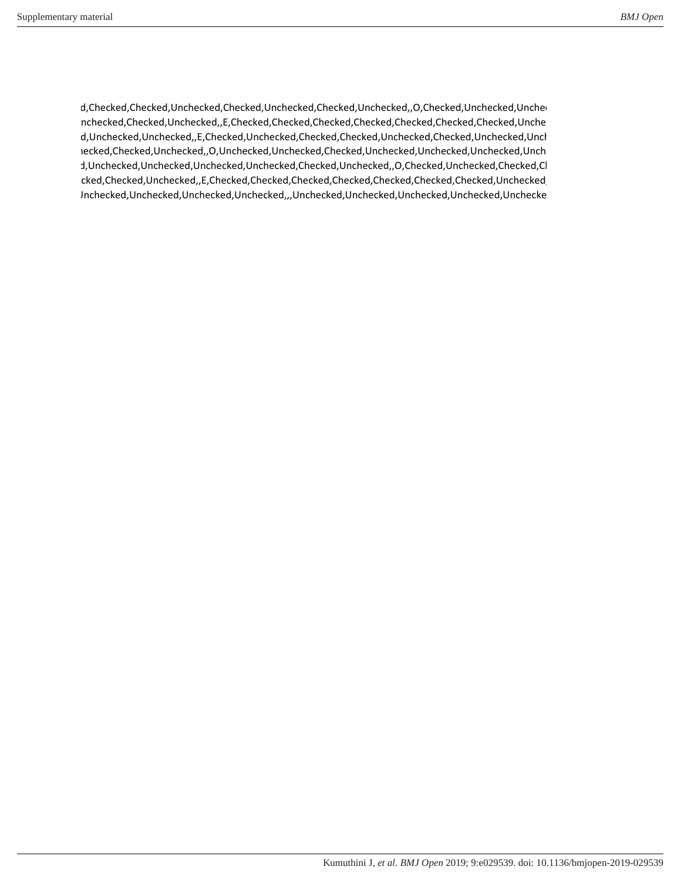ecked,Checked,Checked,Unchecked,Checked,Unchecked,Checked,Unchecked,,O,Checked,Unchecked,Unchecke ,Unchecked,Checked,Unchecked,,E,Checked,Checked,Checked,Checked,Checked,Checked,Checked,Unchecke checked,Unchecked,Unchecked,,E,Checked,Unchecked,Checked,Checked,Unchecked,Checked,Unchecked,Unchecke checked,Checked,Unchecked,,O,Unchecked,Unchecked,Checked,Unchecked,Unchecked,Unchecked,Unchecke d,Unchecked,Unchecked,Unchecked,Unchecked,Checked,Unchecked,,O,Checked,Unchecked,Checked,Cl cked,Checked,Unchecked,,E,Checked,Checked,Checked,Checked,Checked,Checked,Checked,Unchecked, d,Unchecked,Unchecked,Unchecked,Unchecked,,,Unchecked,Unchecked,Unchecked,Unchecked,Unchecked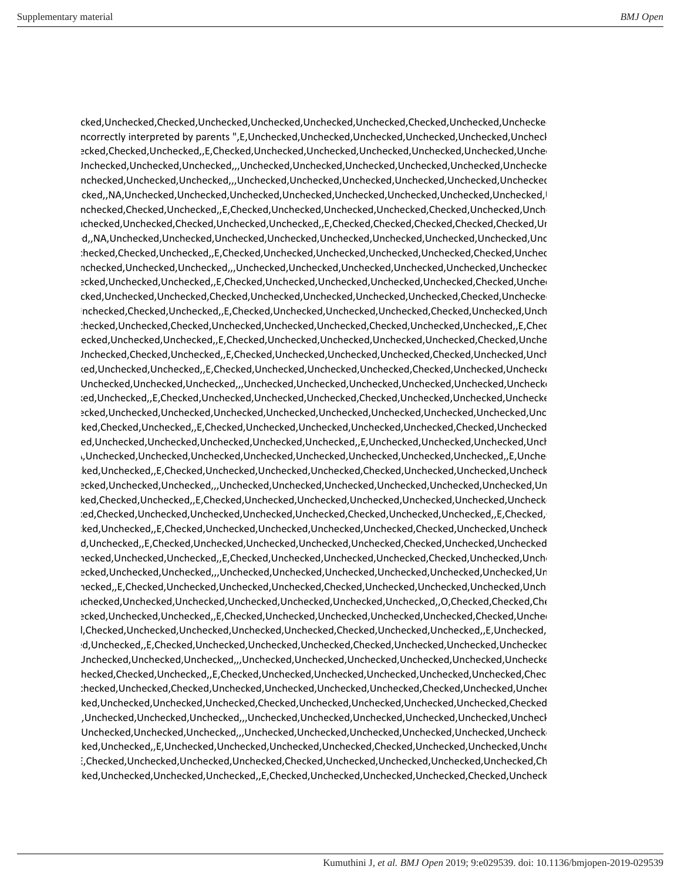checked,Unchecked,Checked,Unchecked,Unchecked,Unchecked,Unchecked,Checked,Unchecked,Unchecked ncorrectly interpreted by parents ",E,Unchecked,Unchecked,Unchecked,Unchecked,Unchecked,Unchecked,Unchecked, ed,Checked,Checked,Unchecked,,E,Checked,Unchecked,Unchecked,Unchecked,Unchecked,Unchecked,Unchecke d,Unchecked,Unchecked,Unchecked,,,Unchecked,Unchecked,Unchecked,Unchecked,Unchecked,Unchecked ,Unchecked,Unchecked,Unchecked,,,Unchecked,Unchecked,Unchecked,Unchecked,Unchecked,Unchecked,Un cked,,NA,Unchecked,Unchecked,Unchecked,Unchecked,Unchecked,Unchecked,Unchecked,Unchecked, ed,Unchecked,Checked,Unchecked,,E,Checked,Unchecked,Unchecked,Unchecked,Checked,Unchecked,Unchecke ,Unchecked,Unchecked,Checked,Unchecked,Unchecked,,E,Checked,Checked,Checked,Checked,Checked,Unchecke checked,,NA,Unchecked,Unchecked,Unchecked,Unchecked,Unchecked,Unchecked,Unchecked,Unchecked,Unchecke ed,Unchecked,Checked,Unchecked,,E,Checked,Unchecked,Unchecked,Unchecked,Unchecked,Checked,Unchecke ,Unchecked,Unchecked,Unchecked,,,Unchecked,Unchecked,Unchecked,Unchecked,Unchecked,Unchecked,Un ,Checked,Unchecked,Unchecked,,E,Checked,Unchecked,Unchecked,Unchecked,Unchecked,Checked,Unchecke ed,Checked,Unchecked,Unchecked,Checked,Unchecked,Unchecked,Unchecked,Unchecked,Checked,Unchecked,Un ed,Unchecked,Checked,Unchecked,,E,Checked,Unchecked,Unchecked,Unchecked,Checked,Unchecked,Unchecke ,Unchecked,Unchecked,Checked,Unchecked,Unchecked,Unchecked,Checked,Unchecked,Unchecked,,E,Checke ,Checked,Unchecked,Unchecked,,E,Checked,Unchecked,Unchecked,Unchecked,Unchecked,Checked,Unchecke d,Unchecked,Checked,Unchecked,,E,Checked,Unchecked,Unchecked,Unchecked,Checked,Unchecked,Unchecke checked,Unchecked,Unchecked,,E,Checked,Unchecked,Unchecked,Unchecked,Checked,Unchecked,Unchecked d,Unchecked,Unchecked,Unchecked,,,Unchecked,Unchecked,Unchecked,Unchecked,Unchecked,Unchecked ecked,Unchecked,,E,Checked,Unchecked,Unchecked,Unchecked,Checked,Unchecked,Unchecked,Unchecked ,,O,Unchecked,Unchecked,Unchecked,Unchecked,Unchecked,Unchecked,Unchecked,Unchecked,Unchecked,Unchecke ecked,Checked,Unchecked,,E,Checked,Unchecked,Unchecked,Unchecked,Unchecked,Checked,Unchecked,Un checked,Unchecked,Unchecked,Unchecked,Unchecked,Unchecked,,E,Unchecked,Unchecked,Unchecked,Unchecke ,,NA,Unchecked,Unchecked,Unchecked,Unchecked,Unchecked,Unchecked,Unchecked,Unchecked,,E,Uncheck checked,Unchecked,,E,Checked,Unchecked,Unchecked,Unchecked,Checked,Unchecked,Unchecked,Unchecke checked,Unchecked,Unchecked,,,Unchecked,Unchecked,Unchecked,Unchecked,Unchecked,Unchecked,Unchecke ecked,Checked,Unchecked,,E,Checked,Unchecked,Unchecked,Unchecked,Unchecked,Unchecked,Unchecked checked,Checked,Unchecked,Unchecked,Unchecked,Unchecked,Checked,Unchecked,Unchecked,,E,Checked,Ch checked,Unchecked,,E,Checked,Unchecked,Unchecked,Unchecked,Unchecked,Checked,Unchecked,Unchecke checked,Unchecked,,E,Checked,Unchecked,Unchecked,Unchecked,Unchecked,Checked,Unchecked,Unchecked,Un ,Checked,Unchecked,Unchecked,,E,Checked,Unchecked,Unchecked,Unchecked,Checked,Unchecked,Unchecke ecked,Unchecked,Unchecked,,,Unchecked,Unchecked,Unchecked,Unchecked,Unchecked,Unchecked,Unchecked,Unchecked,Un hecked,,E,Checked,Unchecked,Unchecked,Unchecked,Checked,Unchecked,Unchecked,Unchecked,Unch ,Unchecked,Unchecked,Unchecked,Unchecked,Unchecked,Unchecked,Unchecked,,O,Checked,Checked,Check ,Checked,Unchecked,Unchecked,,E,Checked,Unchecked,Unchecked,Unchecked,Unchecked,Checked,Unchecke checked,Checked,Unchecked,Unchecked,Unchecked,Unchecked,Checked,Unchecked,Unchecked,,E,Unchecked,Un checked,Unchecked,,E,Checked,Unchecked,Unchecked,Unchecked,Checked,Unchecked,Unchecked,Unchecked,Un d,Unchecked,Unchecked,Unchecked,,,Unchecked,Unchecked,Unchecked,Unchecked,Unchecked,Unchecked hecked,Checked,Unchecked,,E,Checked,Unchecked,Unchecked,Unchecked,Unchecked,Unchecked,Chec ed,Unchecked,Unchecked,Checked,Unchecked,Unchecked,Unchecked,Unchecked,Checked,Unchecked,Unchecke ,,E,Checked,Unchecked,Unchecked,Unchecked,Checked,Unchecked,Unchecked,Unchecked,Unchecked,Checked,Un checked,Unchecked,Unchecked,Unchecked,,,Unchecked,Unchecked,Unchecked,Unchecked,Unchecked,Unchecke d,Unchecked,Unchecked,Unchecked,,,Unchecked,Unchecked,Unchecked,Unchecked,Unchecked,Unchecked checked,Unchecked,,E,Unchecked,Unchecked,Unchecked,Unchecked,Checked,Unchecked,Unchecked,Unchecke ,,E,Checked,Unchecked,Unchecked,Unchecked,Checked,Unchecked,Unchecked,Unchecked,Unchecked,Check checked,Unchecked,Unchecked,Unchecked,,E,Checked,Unchecked,Unchecked,Unchecked,Checked,Unchecke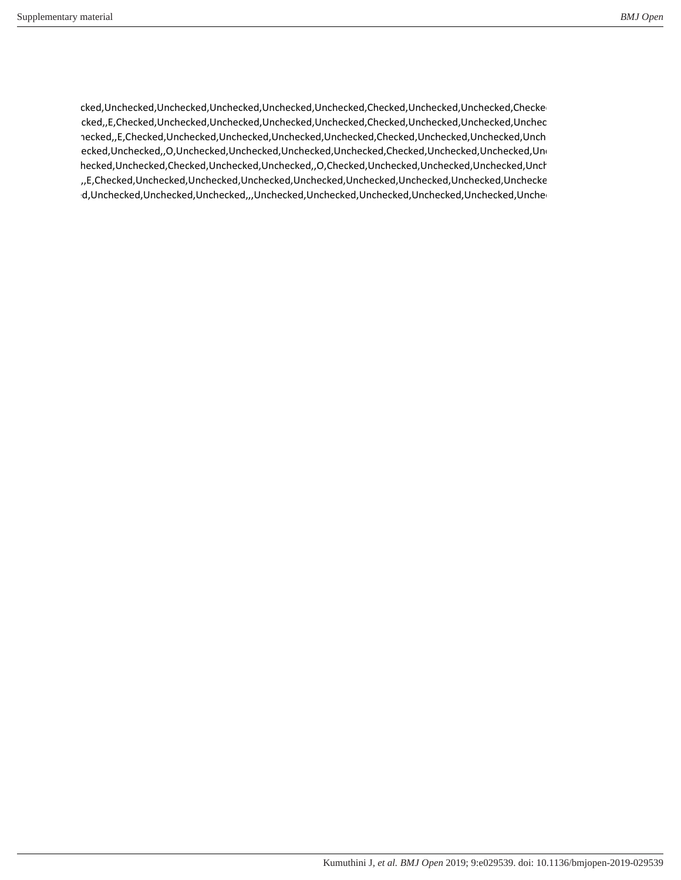checked,Unchecked,Unchecked,Unchecked,Unchecked,Unchecked,Checked,Unchecked,Unchecked,Checked,"Waist checked,,E,Checked,Unchecked,Unchecked,Unchecked,Unchecked,Checked,Unchecked,Unchecked,Unchecke ,Unchecked,,E,Checked,Unchecked,Unchecked,Unchecked,Unchecked,Checked,Unchecked,Unchecked,Unchecke ecked,Unchecked,,O,Unchecked,Unchecked,Unchecked,Unchecked,Checked,Unchecked,Unchecked,Unchecked,Unchecked,Unchecked, ed,Checked,Unchecked,Checked,Unchecked,Unchecked,,O,Checked,Unchecked,Unchecked,Unchecked,Unchecke checked,,E,Checked,Unchecked,Unchecked,Unchecked,Unchecked,Unchecked,Unchecked,Unchecked,Unchecked checked,Unchecked,Unchecked,Unchecked,,,Unchecked,Unchecked,Unchecked,Unchecked,Unchecked,Unchecke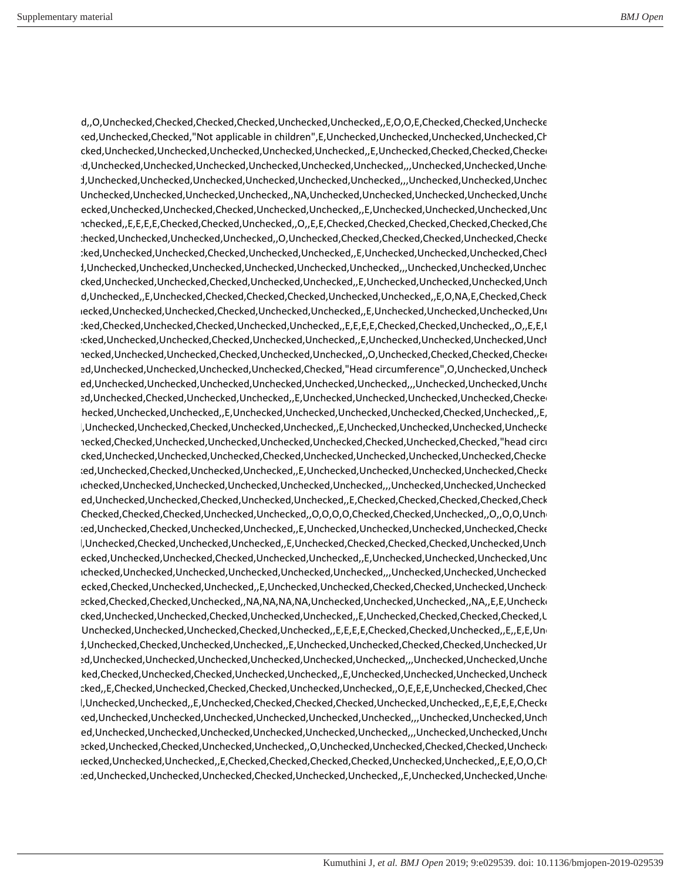checked,,O,Unchecked,Checked,Checked,Checked,Unchecked,Unchecked,,E,O,O,E,Checked,Checked,Unchecked ked,Unchecked,Checked,"Not applicable in children",E,Unchecked,Unchecked,Unchecked,Unchecked,Checked,Checked,Ch checked,Unchecked,Unchecked,Unchecked,Unchecked,Unchecked,,E,Unchecked,Checked,Checked,Checked,Un checked,Unchecked,Unchecked,Unchecked,Unchecked,Unchecked,Unchecked,,,Unchecked,Unchecked,Unchecke checked,Unchecked,Unchecked,Unchecked,Unchecked,Unchecked,Unchecked,,,Unchecked,Unchecked,Unchecke d,Unchecked,Unchecked,Unchecked,Unchecked,,NA,Unchecked,Unchecked,Unchecked,Unchecked,Unchecke checked,Unchecked,Unchecked,Checked,Unchecked,Unchecked,,E,Unchecked,Unchecked,Unchecked,Unchecke nchecked,,E,E,E,E,Checked,Checked,Unchecked,,O,,E,E,Checked,Checked,Checked,Checked,Checked,Che ,Unchecked,Unchecked,Unchecked,Unchecked,,O,Unchecked,Checked,Checked,Checked,Unchecked,Checked,"Est checked,Unchecked,Unchecked,Checked,Unchecked,Unchecked,,E,Unchecked,Unchecked,Unchecked,Checked,Un checked,Unchecked,Unchecked,Unchecked,Unchecked,Unchecked,Unchecked,,,Unchecked,Unchecked,Unchecke checked,Unchecked,Unchecked,Checked,Unchecked,Unchecked,,E,Unchecked,Unchecked,Unchecked,Unchecke checked,Unchecked,,E,Unchecked,Checked,Checked,Checked,Unchecked,Unchecked,,E,O,NA,E,Checked,Checked,Un checked,Unchecked,Unchecked,Checked,Unchecked,Unchecked,,E,Unchecked,Unchecked,Unchecked,Unchecke ,,E,Checked,Checked,Unchecked,Checked,Unchecked,Unchecked,,E,E,E,E,Checked,Checked,Unchecked,,O,,E,E,Un checked,Unchecked,Unchecked,Checked,Unchecked,Unchecked,,E,Unchecked,Unchecked,Unchecked,Unchecke ,Unchecked,Unchecked,Unchecked,Checked,Unchecked,Unchecked,,O,Unchecked,Checked,Checked,Checked,Un checked,Unchecked,Unchecked,Unchecked,Unchecked,Checked,"Head circumference",O,Unchecked,Unchecke ed,Unchecked,Unchecked,Unchecked,Unchecked,Unchecked,Unchecked,,,Unchecked,Unchecked,Unche checked,Unchecked,Checked,Unchecked,Unchecked,,E,Unchecked,Unchecked,Unchecked,Unchecked,Checked,Un ,Unchecked,Unchecked,Unchecked,,E,Unchecked,Unchecked,Unchecked,Unchecked,Checked,Unchecked,,E,N checked,Unchecked,Unchecked,Checked,Unchecked,Unchecked,,E,Unchecked,Unchecked,Unchecked,Unchecked ,Unchecked,Checked,Unchecked,Unchecked,Unchecked,Unchecked,Checked,Unchecked,Checked,"head circum ,,E,Unchecked,Unchecked,Unchecked,Unchecked,Checked,Unchecked,Unchecked,Unchecked,Unchecked,Checked,Un checked,Unchecked,Checked,Unchecked,Unchecked,,E,Unchecked,Unchecked,Unchecked,Unchecked,Checked,Un ,Unchecked,Unchecked,Unchecked,Unchecked,Unchecked,Unchecked,,,Unchecked,Unchecked,Unchecked,Un checked,Unchecked,Unchecked,Checked,Unchecked,Unchecked,,E,Checked,Checked,Checked,Checked,Checked,Un d,Checked,Checked,Checked,Unchecked,Unchecked,,O,O,O,O,Checked,Checked,Unchecked,,O,,O,O,Unchecke checked,Unchecked,Checked,Unchecked,Unchecked,,E,Unchecked,Unchecked,Unchecked,Unchecked,Checked,Un checked,Unchecked,Checked,Unchecked,Unchecked,,E,Unchecked,Checked,Checked,Checked,Unchecked,Unchecke checked,Unchecked,Unchecked,Checked,Unchecked,Unchecked,,E,Unchecked,Unchecked,Unchecked,Unchecke ,Unchecked,Unchecked,Unchecked,Unchecked,Unchecked,Unchecked,,,Unchecked,Unchecked,Unchecked,Un checked,Checked,Unchecked,Unchecked,,E,Unchecked,Unchecked,Checked,Checked,Unchecked,Unchecked ecked,Checked,Checked,Unchecked,,NA,NA,NA,NA,Unchecked,Unchecked,Unchecked,,NA,,E,E,Uncheck checked,Unchecked,Unchecked,Checked,Unchecked,Unchecked,,E,Unchecked,Checked,Checked,Checked,Un Unchecked,Unchecked,Unchecked,Checked,Unchecked,,E,E,E,E,Checked,Checked,Unchecked,,E,E,E,Un checked,Unchecked,Checked,Unchecked,Unchecked,,E,Unchecked,Unchecked,Checked,Checked,Unchecked,Unchecke checked,Unchecked,Unchecked,Unchecked,Unchecked,Unchecked,Unchecked,,,Unchecked,Unchecked,Unchecke ecked,Checked,Unchecked,Checked,Unchecked,Unchecked,,E,Unchecked,Unchecked,Unchecked,Unchecke checked,,E,Checked,Unchecked,Checked,Checked,Unchecked,Unchecked,,O,E,E,E,Unchecked,Checked,Check l,Unchecked,Unchecked,,E,Unchecked,Checked,Checked,Checked,Unchecked,Unchecked,,E,E,E,E,Checke checked,Unchecked,Unchecked,Unchecked,Unchecked,Unchecked,Unchecked,,,Unchecked,Unchecked,Unchecke ed,Unchecked,Unchecked,Unchecked,Unchecked,Unchecked,Unchecked,,,,Unchecked,Unchecked,Unche checked,Unchecked,Checked,Unchecked,Unchecked,,O,Unchecked,Unchecked,Checked,Checked,Unchecked ,Checked,Unchecked,Unchecked,,E,Checked,Checked,Checked,Checked,Unchecked,Unchecked,,E,E,O,O,Checke checked,Unchecked,Unchecked,Unchecked,Checked,Unchecked,Unchecked,,E,Unchecked,Unchecked,Unchecke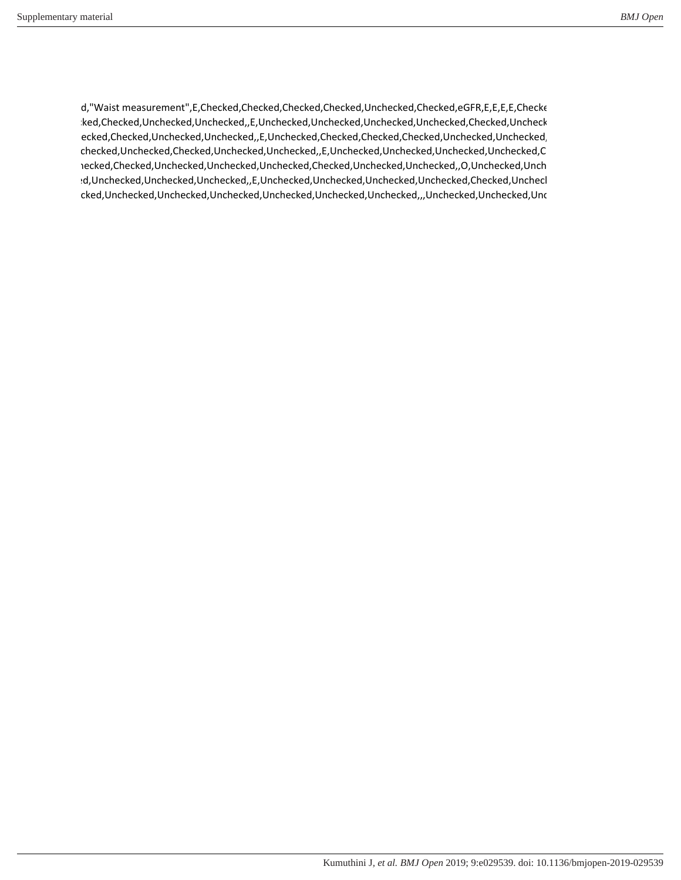d,"Waist measurement",E,Checked,Checked,Checked,Checked,Unchecked,Checked,eGFR,E,E,E,Checke checked,Checked,Unchecked,Unchecked,,E,Unchecked,Unchecked,Unchecked,Unchecked,Checked,Unchecke ecked,Checked,Unchecked,Unchecked,E,Unchecked,Checked,Checked,Checked,Unchecked,Unchecked, ,Unchecked,Unchecked,Checked,Unchecked,Unchecked,,E,Unchecked,Unchecked,Unchecked,Unchecked,Ch ,Unchecked,Checked,Unchecked,Unchecked,Unchecked,Checked,Unchecked,Unchecked,,O,Unchecked,Unchecke checked,Unchecked,Unchecked,Unchecked,,E,Unchecked,Unchecked,Unchecked,Unchecked,Checked,Unchecke cked,Unchecked,Unchecked,Unchecked,Unchecked,Unchecked,Unchecked,,,Unchecked,Unchecked,Unc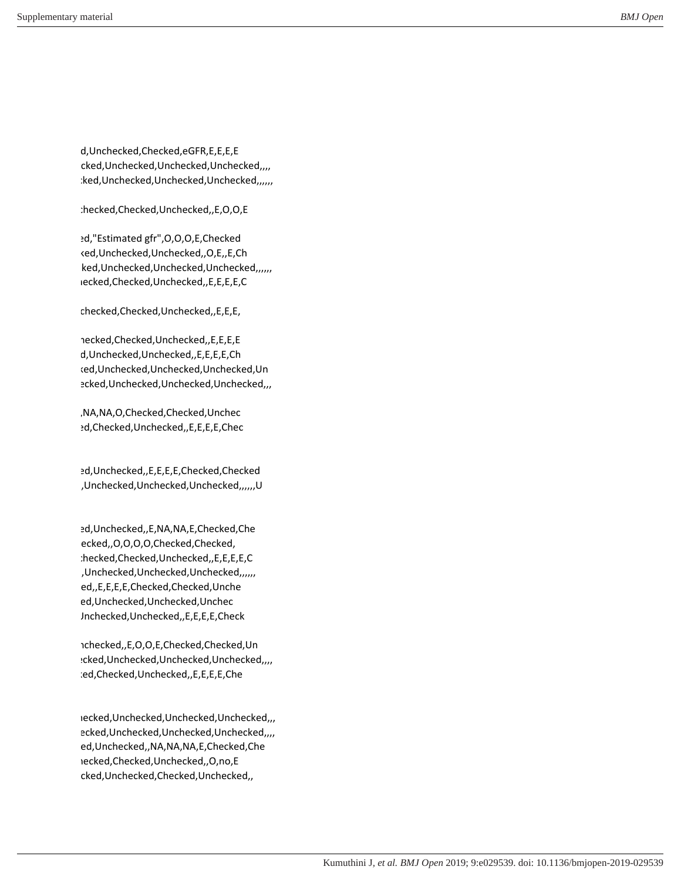ecked,Unchecked,Checked,eGFR,E,E,E,E cked,Unchecked,Unchecked,Unchecked,,,, :ked,Unchecked,Unchecked,Unchecked,,,,,,

,Unchecked,Checked,Unchecked,,E,O,O,E

ed,"Estimated gfr", O, O, O, E, Checked ked,Unchecked,Unchecked,,O,E,,E,Ch ked, Unchecked, Unchecked, Unchecked,,,,,,, checked,Checked,Unchecked,,E,E,E,E,C

,Unchecked,Checked,Unchecked,,E,E,E,

hecked,Checked,Unchecked,,E,E,E,E d,Unchecked,Unchecked,,E,E,E,E,Ch checked,Unchecked,Unchecked,Unchecked,Un ecked,Unchecked,Unchecked,Unchecked,,,

,,E,NA,NA,O,Checked,Checked,Unchec checked,Checked,Unchecked,,E,E,E,E,Chec

ed,Unchecked,,E,E,E,E,Checked,Checked checked,Unchecked,Unchecked,Unchecked,,,,,,U

ed,Unchecked,,E,NA,NA,E,Checked,Che ecked,,O,O,O,O,Checked,Checked, ,Unchecked,Checked,Unchecked,,E,E,E,E,C checked,Unchecked,Unchecked,Unchecked,,,,,, ed,,E,E,E,E,Checked,Checked,Unche ed,Unchecked,Unchecked,Unchec Jnchecked,Unchecked,,E,E,E,Check

,Unchecked,,E,O,O,E,Checked,Checked,Un checked,Unchecked,Unchecked,Unchecked,,,, ced,Checked,Unchecked,,E,E,E,E,Che

checked,Unchecked,Unchecked,Unchecked,,, ecked,Unchecked,Unchecked,Unchecked,,,, ed,Unchecked,,NA,NA,NA,E,Checked,Che ,O,Checked,Checked,Unchecked,,O,no,E cked,Unchecked,Checked,Unchecked,,